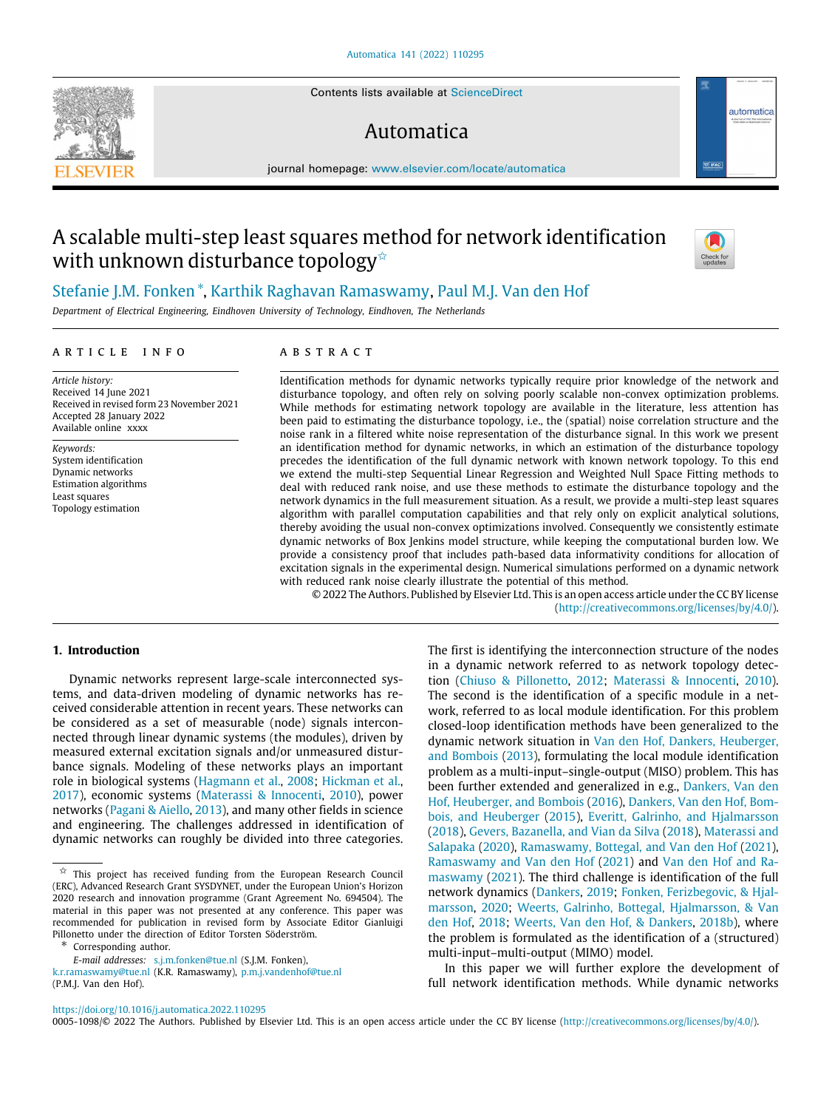Contents lists available at [ScienceDirect](http://www.elsevier.com/locate/automatica)

# Automatica

journal homepage: [www.elsevier.com/locate/automatica](http://www.elsevier.com/locate/automatica)

# A scalable multi-step least squares method for network identification with unknown disturbance topology<sup>☆</sup>



automatica

# [Stefanie](#page-12-0) [J.M.](#page-12-0) [Fonken](#page-12-0) [∗](#page-0-1) , [Karthik](#page-12-1) [Raghavan](#page-12-1) [Ramaswamy](#page-12-1), [Paul](#page-12-2) [M.J.](#page-12-2) [Van den Hof](#page-12-2)

*Department of Electrical Engineering, Eindhoven University of Technology, Eindhoven, The Netherlands*

# ARTICLE INFO

*Article history:* Received 14 June 2021 Received in revised form 23 November 2021 Accepted 28 January 2022 Available online xxxx

*Keywords:* System identification Dynamic networks Estimation algorithms Least squares Topology estimation

# a b s t r a c t

Identification methods for dynamic networks typically require prior knowledge of the network and disturbance topology, and often rely on solving poorly scalable non-convex optimization problems. While methods for estimating network topology are available in the literature, less attention has been paid to estimating the disturbance topology, i.e., the (spatial) noise correlation structure and the noise rank in a filtered white noise representation of the disturbance signal. In this work we present an identification method for dynamic networks, in which an estimation of the disturbance topology precedes the identification of the full dynamic network with known network topology. To this end we extend the multi-step Sequential Linear Regression and Weighted Null Space Fitting methods to deal with reduced rank noise, and use these methods to estimate the disturbance topology and the network dynamics in the full measurement situation. As a result, we provide a multi-step least squares algorithm with parallel computation capabilities and that rely only on explicit analytical solutions, thereby avoiding the usual non-convex optimizations involved. Consequently we consistently estimate dynamic networks of Box Jenkins model structure, while keeping the computational burden low. We provide a consistency proof that includes path-based data informativity conditions for allocation of excitation signals in the experimental design. Numerical simulations performed on a dynamic network with reduced rank noise clearly illustrate the potential of this method.

© 2022 The Authors. Published by Elsevier Ltd. This is an open access article under the CC BY license [\(http://creativecommons.org/licenses/by/4.0/](http://creativecommons.org/licenses/by/4.0/)).

# **1. Introduction**

Dynamic networks represent large-scale interconnected systems, and data-driven modeling of dynamic networks has received considerable attention in recent years. These networks can be considered as a set of measurable (node) signals interconnected through linear dynamic systems (the modules), driven by measured external excitation signals and/or unmeasured disturbance signals. Modeling of these networks plays an important role in biological systems [\(Hagmann et al.,](#page-11-0) [2008;](#page-11-0) [Hickman et al.,](#page-11-1) [2017\)](#page-11-1), economic systems ([Materassi & Innocenti](#page-11-2), [2010](#page-11-2)), power networks ([Pagani & Aiello,](#page-11-3) [2013\)](#page-11-3), and many other fields in science and engineering. The challenges addressed in identification of dynamic networks can roughly be divided into three categories.

<span id="page-0-1"></span>Corresponding author.

[k.r.ramaswamy@tue.nl](mailto:k.r.ramaswamy@tue.nl) (K.R. Ramaswamy), [p.m.j.vandenhof@tue.nl](mailto:p.m.j.vandenhof@tue.nl) (P.M.J. Van den Hof).

The first is identifying the interconnection structure of the nodes in a dynamic network referred to as network topology detection [\(Chiuso & Pillonetto,](#page-11-4) [2012](#page-11-4); [Materassi & Innocenti](#page-11-2), [2010\)](#page-11-2). The second is the identification of a specific module in a network, referred to as local module identification. For this problem closed-loop identification methods have been generalized to the dynamic network situation in [Van den Hof, Dankers, Heuberger,](#page-11-5) [and Bombois](#page-11-5) ([2013](#page-11-5)), formulating the local module identification problem as a multi-input–single-output (MISO) problem. This has been further extended and generalized in e.g., [Dankers, Van den](#page-11-6) [Hof, Heuberger, and Bombois](#page-11-6) ([2016\)](#page-11-6), [Dankers, Van den Hof, Bom](#page-11-7)[bois, and Heuberger](#page-11-7) [\(2015](#page-11-7)), [Everitt, Galrinho, and Hjalmarsson](#page-11-8) ([2018\)](#page-11-8), [Gevers, Bazanella, and Vian da Silva](#page-11-9) ([2018\)](#page-11-9), [Materassi and](#page-11-10) [Salapaka](#page-11-10) ([2020](#page-11-10)), [Ramaswamy, Bottegal, and Van den Hof](#page-11-11) [\(2021\)](#page-11-11), [Ramaswamy and Van den Hof](#page-11-12) ([2021\)](#page-11-12) and [Van den Hof and Ra](#page-11-13)[maswamy](#page-11-13) ([2021\)](#page-11-13). The third challenge is identification of the full network dynamics [\(Dankers](#page-11-14), [2019](#page-11-14); [Fonken, Ferizbegovic, & Hjal](#page-11-15)[marsson](#page-11-15), [2020;](#page-11-15) [Weerts, Galrinho, Bottegal, Hjalmarsson, & Van](#page-12-3) [den Hof,](#page-12-3) [2018](#page-12-3); [Weerts, Van den Hof, & Dankers,](#page-12-4) [2018b](#page-12-4)), where the problem is formulated as the identification of a (structured) multi-input–multi-output (MIMO) model.

In this paper we will further explore the development of full network identification methods. While dynamic networks

<https://doi.org/10.1016/j.automatica.2022.110295>

0005-1098/© 2022 The Authors. Published by Elsevier Ltd. This is an open access article under the CC BY license ([http://creativecommons.org/licenses/by/4.0/\)](http://creativecommons.org/licenses/by/4.0/).



<span id="page-0-0"></span> $\overrightarrow{x}$  This project has received funding from the European Research Council (ERC), Advanced Research Grant SYSDYNET, under the European Union's Horizon 2020 research and innovation programme (Grant Agreement No. 694504). The material in this paper was not presented at any conference. This paper was recommended for publication in revised form by Associate Editor Gianluigi Pillonetto under the direction of Editor Torsten Söderström.

*E-mail addresses:* [s.j.m.fonken@tue.nl](mailto:s.j.m.fonken@tue.nl) (S.J.M. Fonken),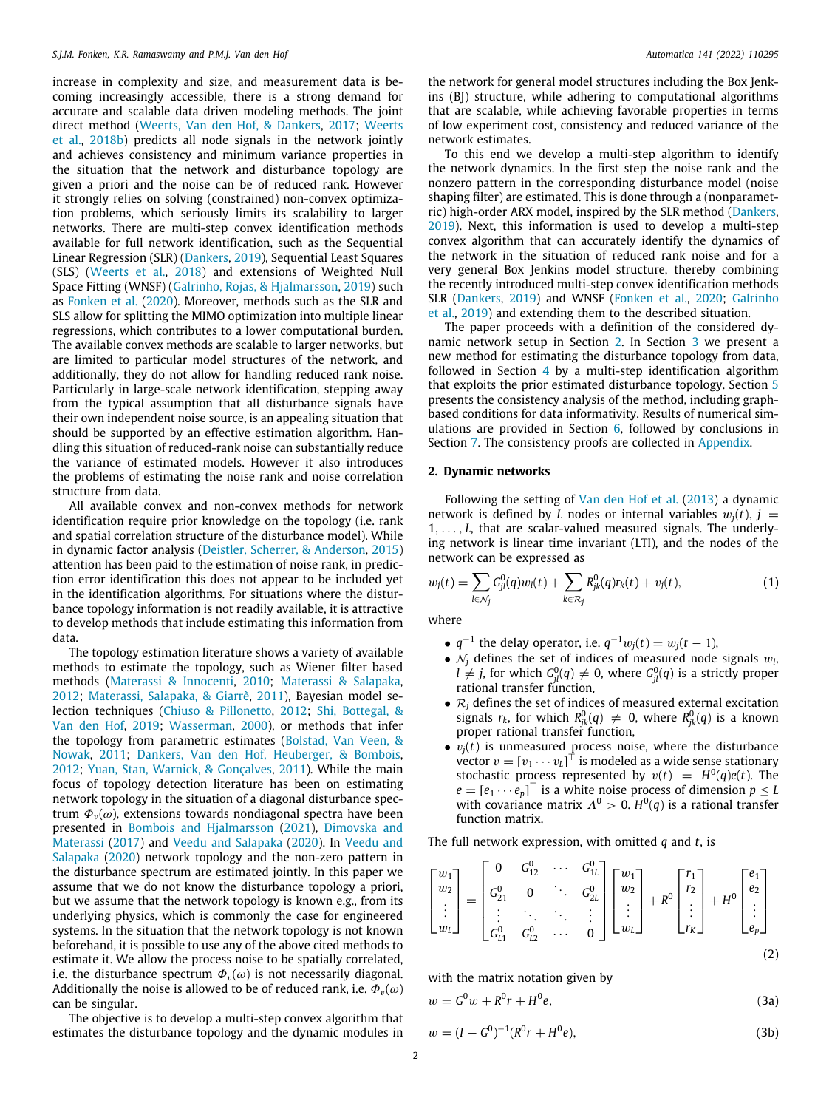increase in complexity and size, and measurement data is becoming increasingly accessible, there is a strong demand for accurate and scalable data driven modeling methods. The joint direct method [\(Weerts, Van den Hof, & Dankers,](#page-12-5) [2017;](#page-12-5) [Weerts](#page-12-4) [et al.](#page-12-4), [2018b](#page-12-4)) predicts all node signals in the network jointly and achieves consistency and minimum variance properties in the situation that the network and disturbance topology are given a priori and the noise can be of reduced rank. However it strongly relies on solving (constrained) non-convex optimization problems, which seriously limits its scalability to larger networks. There are multi-step convex identification methods available for full network identification, such as the Sequential Linear Regression (SLR) [\(Dankers,](#page-11-14) [2019](#page-11-14)), Sequential Least Squares (SLS) ([Weerts et al.](#page-12-3), [2018](#page-12-3)) and extensions of Weighted Null Space Fitting (WNSF) ([Galrinho, Rojas, & Hjalmarsson](#page-11-16), [2019\)](#page-11-16) such as [Fonken et al.](#page-11-15) ([2020](#page-11-15)). Moreover, methods such as the SLR and SLS allow for splitting the MIMO optimization into multiple linear regressions, which contributes to a lower computational burden. The available convex methods are scalable to larger networks, but are limited to particular model structures of the network, and additionally, they do not allow for handling reduced rank noise. Particularly in large-scale network identification, stepping away from the typical assumption that all disturbance signals have their own independent noise source, is an appealing situation that should be supported by an effective estimation algorithm. Handling this situation of reduced-rank noise can substantially reduce the variance of estimated models. However it also introduces the problems of estimating the noise rank and noise correlation structure from data.

All available convex and non-convex methods for network identification require prior knowledge on the topology (i.e. rank and spatial correlation structure of the disturbance model). While in dynamic factor analysis ([Deistler, Scherrer, & Anderson,](#page-11-17) [2015\)](#page-11-17) attention has been paid to the estimation of noise rank, in prediction error identification this does not appear to be included yet in the identification algorithms. For situations where the disturbance topology information is not readily available, it is attractive to develop methods that include estimating this information from data.

The topology estimation literature shows a variety of available methods to estimate the topology, such as Wiener filter based methods ([Materassi & Innocenti](#page-11-2), [2010](#page-11-2); [Materassi & Salapaka,](#page-11-18) [2012;](#page-11-18) [Materassi, Salapaka, & Giarrè](#page-11-19), [2011](#page-11-19)), Bayesian model selection techniques [\(Chiuso & Pillonetto](#page-11-4), [2012;](#page-11-4) [Shi, Bottegal, &](#page-11-20) [Van den Hof,](#page-11-20) [2019](#page-11-20); [Wasserman](#page-12-6), [2000\)](#page-12-6), or methods that infer the topology from parametric estimates [\(Bolstad, Van Veen, &](#page-11-21) [Nowak](#page-11-21), [2011](#page-11-21); [Dankers, Van den Hof, Heuberger, & Bombois,](#page-11-22) [2012;](#page-11-22) [Yuan, Stan, Warnick, & Gonçalves,](#page-12-7) [2011](#page-12-7)). While the main focus of topology detection literature has been on estimating network topology in the situation of a diagonal disturbance spectrum  $\Phi_{\nu}(\omega)$ , extensions towards nondiagonal spectra have been presented in [Bombois and Hjalmarsson](#page-11-23) ([2021\)](#page-11-23), [Dimovska and](#page-11-24) [Materassi](#page-11-24) ([2017](#page-11-24)) and [Veedu and Salapaka](#page-11-25) ([2020\)](#page-11-25). In [Veedu and](#page-11-25) [Salapaka](#page-11-25) ([2020](#page-11-25)) network topology and the non-zero pattern in the disturbance spectrum are estimated jointly. In this paper we assume that we do not know the disturbance topology a priori, but we assume that the network topology is known e.g., from its underlying physics, which is commonly the case for engineered systems. In the situation that the network topology is not known beforehand, it is possible to use any of the above cited methods to estimate it. We allow the process noise to be spatially correlated, i.e. the disturbance spectrum  $\Phi_{\nu}(\omega)$  is not necessarily diagonal. Additionally the noise is allowed to be of reduced rank, i.e.  $\Phi_{v}(\omega)$ can be singular.

The objective is to develop a multi-step convex algorithm that estimates the disturbance topology and the dynamic modules in

the network for general model structures including the Box Jenkins (BJ) structure, while adhering to computational algorithms that are scalable, while achieving favorable properties in terms of low experiment cost, consistency and reduced variance of the network estimates.

To this end we develop a multi-step algorithm to identify the network dynamics. In the first step the noise rank and the nonzero pattern in the corresponding disturbance model (noise shaping filter) are estimated. This is done through a (nonparametric) high-order ARX model, inspired by the SLR method [\(Dankers,](#page-11-14) [2019\)](#page-11-14). Next, this information is used to develop a multi-step convex algorithm that can accurately identify the dynamics of the network in the situation of reduced rank noise and for a very general Box Jenkins model structure, thereby combining the recently introduced multi-step convex identification methods SLR [\(Dankers,](#page-11-14) [2019\)](#page-11-14) and WNSF ([Fonken et al.](#page-11-15), [2020](#page-11-15); [Galrinho](#page-11-16) [et al.,](#page-11-16) [2019](#page-11-16)) and extending them to the described situation.

The paper proceeds with a definition of the considered dynamic network setup in Section [2](#page-1-0). In Section [3](#page-2-0) we present a new method for estimating the disturbance topology from data, followed in Section [4](#page-4-0) by a multi-step identification algorithm that exploits the prior estimated disturbance topology. Section [5](#page-5-0) presents the consistency analysis of the method, including graphbased conditions for data informativity. Results of numerical simulations are provided in Section [6](#page-7-0), followed by conclusions in Section [7](#page-9-0). The consistency proofs are collected in [Appendix.](#page-9-1)

#### **2. Dynamic networks**

<span id="page-1-0"></span>Following the setting of [Van den Hof et al.](#page-11-5) [\(2013](#page-11-5)) a dynamic network is defined by *L* nodes or internal variables  $w_i(t)$ ,  $i =$ 1, . . . , *L*, that are scalar-valued measured signals. The underlying network is linear time invariant (LTI), and the nodes of the network can be expressed as

$$
w_j(t) = \sum_{l \in \mathcal{N}_j} G_{jl}^0(q) w_l(t) + \sum_{k \in \mathcal{R}_j} R_{jk}^0(q) r_k(t) + v_j(t), \qquad (1)
$$

where

- <span id="page-1-1"></span>•  $q^{-1}$  the delay operator, i.e.  $q^{-1}w_j(t) = w_j(t-1)$ ,
- $\mathcal{N}_j$  defines the set of indices of measured node signals  $w_l$ ,  $l \neq j$ , for which  $G_{jl}^0(q) \neq 0$ , where  $G_{jl}^0(q)$  is a strictly proper rational transfer function,
- $\mathcal{R}_j$  defines the set of indices of measured external excitation signals  $r_k$ , for which  $R_{jk}^0(q) \neq 0$ , where  $R_{jk}^0(q)$  is a known proper rational transfer function,
- $\bullet v_j(t)$  is unmeasured process noise, where the disturbance vector  $v = [v_1 \cdots v_L]^\top$  is modeled as a wide sense stationary stochastic process represented by  $v(t) = H^0(q)e(t)$ . The  $e = [e_1 \cdots e_p]^\top$  is a white noise process of dimension  $p \leq L$ with covariance matrix  $\Lambda^0 > 0$ .  $H^0(q)$  is a rational transfer function matrix.

The full network expression, with omitted *q* and *t*, is

$$
\begin{bmatrix} w_1 \\ w_2 \\ \vdots \\ w_L \end{bmatrix} = \begin{bmatrix} 0 & G_{12}^0 & \cdots & G_{1L}^0 \\ G_{21}^0 & 0 & \ddots & G_{2L}^0 \\ \vdots & \ddots & \ddots & \vdots \\ G_{L1}^0 & G_{L2}^0 & \cdots & 0 \end{bmatrix} \begin{bmatrix} w_1 \\ w_2 \\ \vdots \\ w_L \end{bmatrix} + R^0 \begin{bmatrix} r_1 \\ r_2 \\ \vdots \\ r_K \end{bmatrix} + H^0 \begin{bmatrix} e_1 \\ e_2 \\ \vdots \\ e_p \end{bmatrix}
$$
(2)

with the matrix notation given by

$$
w = G0w + R0r + H0e,
$$
\n(3a)

$$
w = (I - G^0)^{-1} (R^0 r + H^0 e), \tag{3b}
$$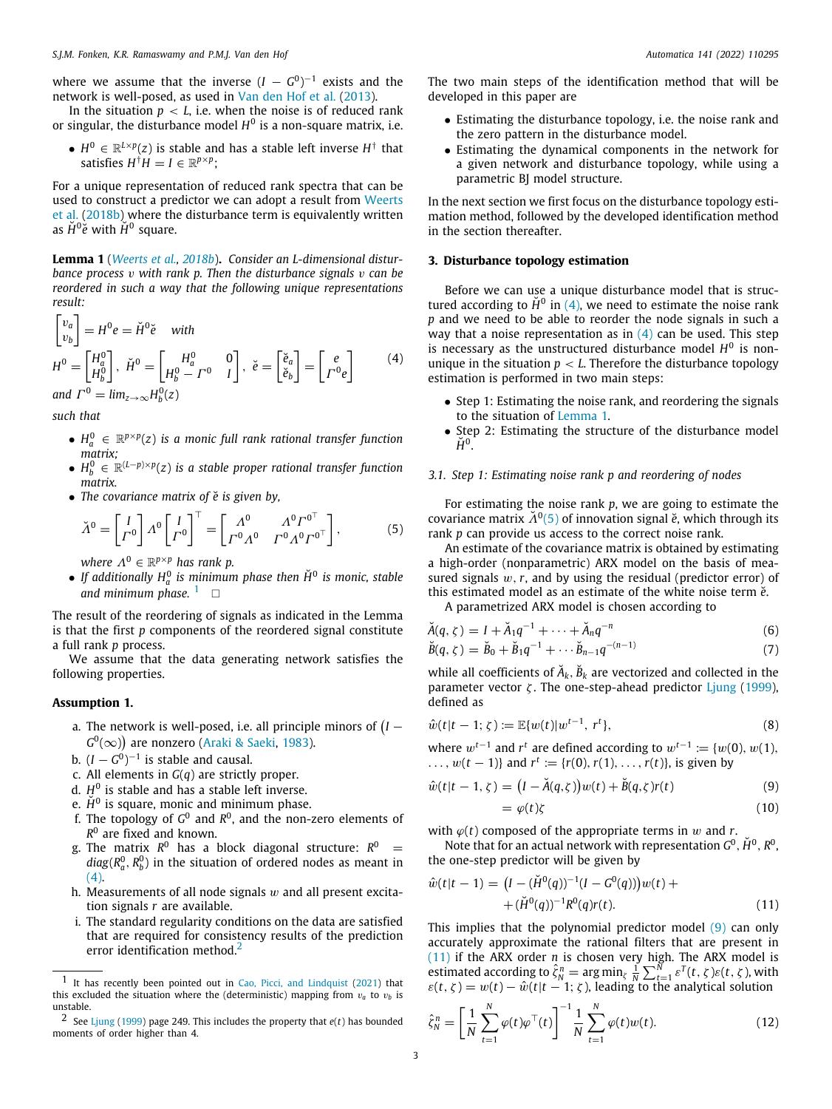where we assume that the inverse  $(I - G^0)^{-1}$  exists and the network is well-posed, as used in [Van den Hof et al.](#page-11-5) [\(2013\)](#page-11-5).

In the situation  $p < L$ , i.e. when the noise is of reduced rank or singular, the disturbance model *H* 0 is a non-square matrix, i.e.

•  $H^0 \in \mathbb{R}^{L \times p}(z)$  is stable and has a stable left inverse  $H^{\dagger}$  that satisfies  $H^{\dagger}H = I \in \mathbb{R}^{p \times p}$ ;

For a unique representation of reduced rank spectra that can be used to construct a predictor we can adopt a result from [Weerts](#page-12-4) [et al.](#page-12-4) ([2018b\)](#page-12-4) where the disturbance term is equivalently written as  $\check{H}^0\check{\bar{e}}$  with  $\check{H}^0$  square.

<span id="page-2-4"></span>**Lemma 1** (*[Weerts et al.](#page-12-4), [2018b](#page-12-4)*)**.** *Consider an L-dimensional disturbance process* v *with rank p. Then the disturbance signals* v *can be reordered in such a way that the following unique representations result:*

$$
\begin{bmatrix} v_a \\ v_b \end{bmatrix} = H^0 e = \check{H}^0 \check{e} \quad \text{with}
$$
\n
$$
H^0 = \begin{bmatrix} H_a^0 \\ H_b^0 \end{bmatrix}, \ \check{H}^0 = \begin{bmatrix} H_a^0 & 0 \\ H_b^0 - \Gamma^0 & I \end{bmatrix}, \ \check{e} = \begin{bmatrix} \check{e}_a \\ \check{e}_b \end{bmatrix} = \begin{bmatrix} e \\ \Gamma^0 e \end{bmatrix} \tag{4}
$$
\n
$$
\text{and } \Gamma^0 = \lim_{z \to \infty} H_b^0(z)
$$

*such that*

- $H_a^0 \in \mathbb{R}^{p \times p}(z)$  is a monic full rank rational transfer function *matrix;*
- *H* 0 *<sup>b</sup>* ∈ <sup>R</sup> (*L*−*p*)×*p* (*z*) *is a stable proper rational transfer function matrix.*
- *The covariance matrix of*  $\check{e}$  *is given by,*

$$
\check{\Lambda}^0 = \begin{bmatrix} I \\ \varGamma^0 \end{bmatrix} \Lambda^0 \begin{bmatrix} I \\ \varGamma^0 \end{bmatrix}^\top = \begin{bmatrix} \Lambda^0 & \Lambda^0 \varGamma^{0^\top} \\ \varGamma^0 \Lambda^0 & \varGamma^0 \Lambda^0 \varGamma^{0^\top} \end{bmatrix},\tag{5}
$$

<span id="page-2-1"></span>*where*  $\Lambda^0 \in \mathbb{R}^{p \times p}$  has rank p.

**•** If additionally  $H_a^0$  is minimum phase then  $\check{H}^0$  is monic, stable and minimum phase.  $1 \square$  $1 \square$ 

The result of the reordering of signals as indicated in the Lemma is that the first *p* components of the reordered signal constitute a full rank *p* process.

We assume that the data generating network satisfies the following properties.

#### **Assumption 1.**

- <span id="page-2-9"></span>a. The network is well-posed, i.e. all principle minors of  $(I G^0(\infty)$ ) are nonzero ([Araki & Saeki](#page-11-26), [1983](#page-11-26)).
- b.  $(I G^0)^{-1}$  is stable and causal.
- c. All elements in *G*(*q*) are strictly proper.
- d. *H* 0 is stable and has a stable left inverse.
- e.  $\check{H}^0$  is square, monic and minimum phase.
- f. The topology of  $G^0$  and  $R^0$ , and the non-zero elements of *R* 0 are fixed and known.
- g. The matrix *R* <sup>0</sup> has a block diagonal structure: *R* <sup>0</sup> =  $diag(R_a^0, R_b^0)$  in the situation of ordered nodes as meant in [\(4\)](#page-2-2).
- h. Measurements of all node signals  $w$  and all present excitation signals *r* are available.
- <span id="page-2-3"></span>i. The standard regularity conditions on the data are satisfied that are required for consistency results of the prediction error identification method.<sup>[2](#page-2-3)</sup>

The two main steps of the identification method that will be developed in this paper are

- Estimating the disturbance topology, i.e. the noise rank and the zero pattern in the disturbance model.
- Estimating the dynamical components in the network for a given network and disturbance topology, while using a parametric BJ model structure.

In the next section we first focus on the disturbance topology estimation method, followed by the developed identification method in the section thereafter.

#### **3. Disturbance topology estimation**

<span id="page-2-0"></span>Before we can use a unique disturbance model that is structured according to  $\check{H}^0$  in [\(4](#page-2-2)), we need to estimate the noise rank *p* and we need to be able to reorder the node signals in such a way that a noise representation as in  $(4)$  $(4)$  $(4)$  can be used. This step is necessary as the unstructured disturbance model  $H^0$  is nonunique in the situation  $p < L$ . Therefore the disturbance topology estimation is performed in two main steps:

- <span id="page-2-2"></span>• Step 1: Estimating the noise rank, and reordering the signals to the situation of [Lemma](#page-2-4) [1](#page-2-4).
- Step 2: Estimating the structure of the disturbance model  $\check{H}^0$ .

#### *3.1. Step 1: Estimating noise rank p and reordering of nodes*

<span id="page-2-5"></span>For estimating the noise rank *p*, we are going to estimate the covariance matrix  $\check{A}^0(5)$  $\check{A}^0(5)$  $\check{A}^0(5)$  of innovation signal  $\check{e}$ , which through its rank *p* can provide us access to the correct noise rank.

An estimate of the covariance matrix is obtained by estimating a high-order (nonparametric) ARX model on the basis of measured signals w,*r*, and by using the residual (predictor error) of this estimated model as an estimate of the white noise term  $\check{e}$ .

A parametrized ARX model is chosen according to

$$
\breve{A}(q,\zeta) = I + \breve{A}_1 q^{-1} + \dots + \breve{A}_n q^{-n} \tag{6}
$$

$$
\breve{B}(q,\zeta) = \breve{B}_0 + \breve{B}_1 q^{-1} + \cdots \breve{B}_{n-1} q^{-(n-1)} \tag{7}
$$

while all coefficients of  $\check{A}_k$ ,  $\check{B}_k$  are vectorized and collected in the parameter vector  $\zeta$ . The one-step-ahead predictor [Ljung](#page-11-28) [\(1999\)](#page-11-28), defined as

$$
\hat{w}(t|t-1; \zeta) := \mathbb{E}\{w(t)|w^{t-1}, r^t\},\tag{8}
$$

where  $w^{t-1}$  and  $r^t$  are defined according to  $w^{t-1} := \{w(0), w(1), w(1)\}$ ...,  $w(t-1)$ } and  $r^t := \{r(0), r(1), \ldots, r(t)\}$ , is given by

$$
\hat{w}(t|t-1,\zeta) = (I - \check{A}(q,\zeta))w(t) + \check{B}(q,\zeta)r(t)
$$
\n(9)

<span id="page-2-7"></span><span id="page-2-6"></span>
$$
=\varphi(t)\zeta\tag{10}
$$

with  $\varphi(t)$  composed of the appropriate terms in w and r.

Note that for an actual network with representation  $G^0$ ,  $\check{H}^0$ ,  $R^0$ , the one-step predictor will be given by

$$
\hat{w}(t|t-1) = (I - (\check{H}^0(q))^{-1}(I - G^0(q)))w(t) + \n+ (\check{H}^0(q))^{-1}R^0(q)r(t).
$$
\n(11)

This implies that the polynomial predictor model ([9\)](#page-2-6) can only accurately approximate the rational filters that are present in ([11](#page-2-7)) if the ARX order *n* is chosen very high. The ARX model is estimated according to  $\hat{\zeta}_N^n = \arg \min_{\zeta} \frac{1}{N} \sum_{t=1}^N \varepsilon^T(t, \zeta) \varepsilon(t, \zeta)$ , with  $\varepsilon(t, \zeta) = w(t) - \hat{w}(t|t-1; \zeta)$ , leading to the analytical solution

<span id="page-2-8"></span>
$$
\hat{\zeta}_N^n = \left[ \frac{1}{N} \sum_{t=1}^N \varphi(t) \varphi^\top(t) \right]^{-1} \frac{1}{N} \sum_{t=1}^N \varphi(t) w(t).
$$
 (12)

<sup>1</sup> It has recently been pointed out in [Cao, Picci, and Lindquist](#page-11-27) [\(2021](#page-11-27)) that this excluded the situation where the (deterministic) mapping from  $v_a$  to  $v_b$  is unstable.

<sup>2</sup> See [Ljung](#page-11-28) ([1999\)](#page-11-28) page 249. This includes the property that *e*(*t*) has bounded moments of order higher than 4.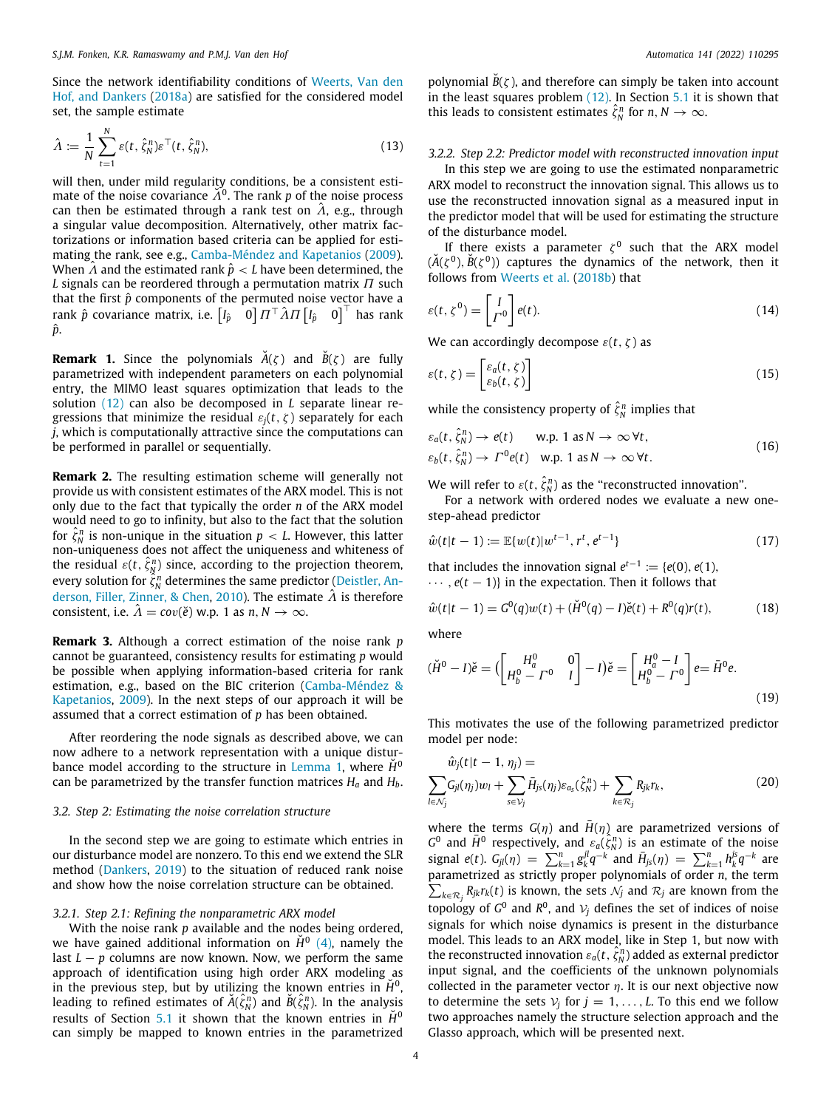Since the network identifiability conditions of [Weerts, Van den](#page-12-8) [Hof, and Dankers](#page-12-8) ([2018a](#page-12-8)) are satisfied for the considered model set, the sample estimate

$$
\hat{\Lambda} := \frac{1}{N} \sum_{t=1}^{N} \varepsilon(t, \hat{\zeta}_N^n) \varepsilon^{\top}(t, \hat{\zeta}_N^n), \tag{13}
$$

will then, under mild regularity conditions, be a consistent estimate of the noise covariance  $\check{A}^0$ . The rank p of the noise process can then be estimated through a rank test on  $\hat{\Lambda}$ , e.g., through a singular value decomposition. Alternatively, other matrix factorizations or information based criteria can be applied for estimating the rank, see e.g., [Camba-Méndez and Kapetanios](#page-11-29) [\(2009\)](#page-11-29). When  $\hat{A}$  and the estimated rank  $\hat{p} < L$  have been determined, the *L* signals can be reordered through a permutation matrix Π such that the first  $\hat{p}$  components of the permuted noise vector have a rank  $\hat{p}$  covariance matrix, i.e.  $\begin{bmatrix} I_{\hat{p}} & 0 \end{bmatrix} \Pi^\top \hat{A} \Pi \begin{bmatrix} I_{\hat{p}} & 0 \end{bmatrix}^\top$  has rank *p*ˆ.

<span id="page-3-4"></span>**Remark 1.** Since the polynomials  $\check{A}(\zeta)$  and  $\check{B}(\zeta)$  are fully parametrized with independent parameters on each polynomial entry, the MIMO least squares optimization that leads to the solution ([12\)](#page-2-8) can also be decomposed in *L* separate linear regressions that minimize the residual  $\varepsilon_i(t, \zeta)$  separately for each *j*, which is computationally attractive since the computations can be performed in parallel or sequentially.

**Remark 2.** The resulting estimation scheme will generally not provide us with consistent estimates of the ARX model. This is not only due to the fact that typically the order *n* of the ARX model would need to go to infinity, but also to the fact that the solution for  $\hat{\zeta}_N^n$  is non-unique in the situation  $p < L$ . However, this latter non-uniqueness does not affect the uniqueness and whiteness of the residual  $\varepsilon(t, \hat{\zeta}_N^n)$  since, according to the projection theorem, every solution for  $\hat{\zeta}_N^n$  determines the same predictor ([Deistler, An](#page-11-30)[derson, Filler, Zinner, & Chen](#page-11-30), [2010\)](#page-11-30). The estimate  $\hat{\Lambda}$  is therefore consistent, i.e.  $\hat{A} = cov(\check{e})$  w.p. 1 as  $n, N \to \infty$ .

**Remark 3.** Although a correct estimation of the noise rank *p* cannot be guaranteed, consistency results for estimating *p* would be possible when applying information-based criteria for rank estimation, e.g., based on the BIC criterion ([Camba-Méndez &](#page-11-29) [Kapetanios,](#page-11-29) [2009\)](#page-11-29). In the next steps of our approach it will be assumed that a correct estimation of *p* has been obtained.

After reordering the node signals as described above, we can now adhere to a network representation with a unique distur-bance model according to the structure in [Lemma](#page-2-4) [1](#page-2-4), where  $\dot{H}^0$ can be parametrized by the transfer function matrices *H<sup>a</sup>* and *Hb*.

#### *3.2. Step 2: Estimating the noise correlation structure*

In the second step we are going to estimate which entries in our disturbance model are nonzero. To this end we extend the SLR method [\(Dankers](#page-11-14), [2019](#page-11-14)) to the situation of reduced rank noise and show how the noise correlation structure can be obtained.

#### *3.2.1. Step 2.1: Refining the nonparametric ARX model*

With the noise rank *p* available and the nodes being ordered, we have gained additional information on  $\check{H}^{0}$  ([4](#page-2-2)), namely the last  $L - p$  columns are now known. Now, we perform the same approach of identification using high order ARX modeling as in the previous step, but by utilizing the known entries in  $\breve{H}^0$ , leading to refined estimates of  $\breve{A}(\hat{\zeta}_N^n)$  and  $\breve{B}(\hat{\zeta}_N^n)$ . In the analysis results of Section [5.1](#page-5-1) it shown that the known entries in  $\check{H}^0$ can simply be mapped to known entries in the parametrized polynomial  $\tilde{B}(\zeta)$ , and therefore can simply be taken into account in the least squares problem  $(12)$ . In Section [5.1](#page-5-1) it is shown that this leads to consistent estimates  $\hat{\zeta}_N^n$  for  $n, N \to \infty$ .

#### <span id="page-3-5"></span>*3.2.2. Step 2.2: Predictor model with reconstructed innovation input*

In this step we are going to use the estimated nonparametric ARX model to reconstruct the innovation signal. This allows us to use the reconstructed innovation signal as a measured input in the predictor model that will be used for estimating the structure of the disturbance model.

If there exists a parameter  $\zeta^0$  such that the ARX model  $(\check{A}(\zeta^0), \check{B}(\zeta^0))$  captures the dynamics of the network, then it follows from [Weerts et al.](#page-12-4) ([2018b\)](#page-12-4) that

$$
\varepsilon(t, \zeta^0) = \begin{bmatrix} I \\ \varGamma^0 \end{bmatrix} e(t). \tag{14}
$$

We can accordingly decompose  $\varepsilon(t, \zeta)$  as

<span id="page-3-3"></span>
$$
\varepsilon(t,\zeta) = \begin{bmatrix} \varepsilon_a(t,\zeta) \\ \varepsilon_b(t,\zeta) \end{bmatrix} \tag{15}
$$

while the consistency property of  $\hat{\zeta}_N^n$  implies that

$$
\varepsilon_a(t, \hat{\zeta}_N^n) \to e(t) \qquad \text{w.p. } 1 \text{ as } N \to \infty \,\forall t,
$$
  
\n
$$
\varepsilon_b(t, \hat{\zeta}_N^n) \to \Gamma^0 e(t) \quad \text{w.p. } 1 \text{ as } N \to \infty \,\forall t.
$$
 (16)

We will refer to  $\varepsilon(t, \hat{\zeta}_N^n)$  as the "reconstructed innovation".

For a network with ordered nodes we evaluate a new onestep-ahead predictor

<span id="page-3-1"></span>
$$
\hat{w}(t|t-1) := \mathbb{E}\{w(t)|w^{t-1}, r^t, e^{t-1}\}\tag{17}
$$

that includes the innovation signal  $e^{t-1} := \{e(0), e(1), e(1)\}$ · · · , *e*(*t* − 1)} in the expectation. Then it follows that

$$
\hat{w}(t|t-1) = G^{0}(q)w(t) + (\check{H}^{0}(q) - I)\check{e}(t) + R^{0}(q)r(t),
$$
\n(18)

where

<span id="page-3-2"></span>
$$
(\check{H}^0 - I)\check{e} = \begin{pmatrix} H_a^0 & 0 \\ H_b^0 - \Gamma^0 & I \end{pmatrix} - I)\check{e} = \begin{bmatrix} H_a^0 - I \\ H_b^0 - \Gamma^0 \end{bmatrix} e = \bar{H}^0 e.
$$
\n(19)

This motivates the use of the following parametrized predictor model per node:

<span id="page-3-0"></span>
$$
\hat{w}_j(t|t-1,\eta_j) = \sum_{s \in \mathcal{V}_j} G_{jl}(\eta_j) w_l + \sum_{s \in \mathcal{V}_j} \bar{H}_{js}(\eta_j) \varepsilon_{a_s}(\hat{\zeta}_N^n) + \sum_{k \in \mathcal{R}_j} R_{jk} r_k,
$$
\n(20)

where the terms  $G(\eta)$  and  $\bar{H}(\eta)$  are parametrized versions of  $G^0$  and  $\bar{H}^0$  respectively, and  $\varepsilon_a(\hat{\zeta}_N^n)$  is an estimate of the noise  $\frac{f(x)}{g(x)} = \sum_{k=1}^{n} g_k^{jl} q^{-k}$  and  $\bar{H}_{js}(\eta) = \sum_{k=1}^{n} h_k^{js} q^{-k}$  are parametrized as strictly proper polynomials of order ∑ *n*, the term  $\kappa_{k\in\mathcal{R}_j}$   $R_{jk}r_k(t)$  is known, the sets  $\mathcal{N}_j$  and  $\mathcal{R}_j$  are known from the topology of  $G^0$  and  $R^0$ , and  $V_j$  defines the set of indices of noise signals for which noise dynamics is present in the disturbance model. This leads to an ARX model, like in Step 1, but now with the reconstructed innovation  $\varepsilon_a(t, \hat{\zeta}_N^n)$  added as external predictor input signal, and the coefficients of the unknown polynomials collected in the parameter vector  $\eta$ . It is our next objective now to determine the sets  $V_j$  for  $j = 1, ..., L$ . To this end we follow two approaches namely the structure selection approach and the Glasso approach, which will be presented next.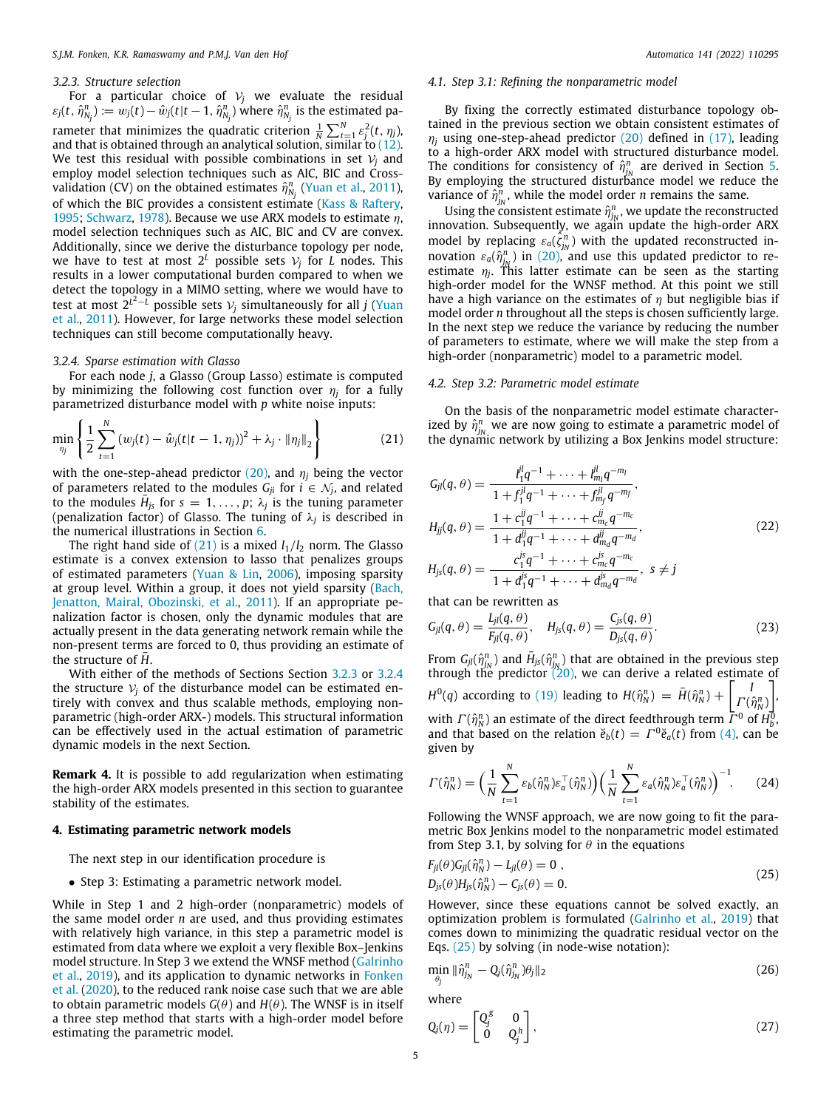#### *3.2.3. Structure selection*

<span id="page-4-2"></span>For a particular choice of  $V_i$  we evaluate the residual  $\varepsilon_j(t,\, \hat\eta_{N_j}^n) \coloneqq w_j(t)-\hat w_j(t|t-1,\, \hat\eta_{N_j}^n)$  where  $\hat\eta_{N_j}^n$  is the estimated parameter that minimizes the quadratic criterion  $\frac{1}{N} \sum_{t=1}^{N} \varepsilon_j^2(t, \eta_j)$ , and that is obtained through an analytical solution, similar to [\(12\)](#page-2-8). We test this residual with possible combinations in set  $V_i$  and employ model selection techniques such as AIC, BIC and Crossvalidation (CV) on the obtained estimates  $\hat{\eta}^n_{N_j}$  ([Yuan et al.,](#page-12-7) [2011\)](#page-12-7), of which the BIC provides a consistent estimate [\(Kass & Raftery,](#page-11-31) [1995;](#page-11-31) [Schwarz](#page-11-32), [1978\)](#page-11-32). Because we use ARX models to estimate  $\eta$ , model selection techniques such as AIC, BIC and CV are convex. Additionally, since we derive the disturbance topology per node, we have to test at most  $2^L$  possible sets  $\mathcal{V}_j$  for  $L$  nodes. This results in a lower computational burden compared to when we detect the topology in a MIMO setting, where we would have to test at most  $2^{L^2-L}$  possible sets  $\mathcal{V}_j$  simultaneously for all  $j$  [\(Yuan](#page-12-7) [et al.,](#page-12-7) [2011](#page-12-7)). However, for large networks these model selection techniques can still become computationally heavy.

#### *3.2.4. Sparse estimation with Glasso*

<span id="page-4-3"></span>For each node *j*, a Glasso (Group Lasso) estimate is computed by minimizing the following cost function over  $\eta_j$  for a fully parametrized disturbance model with *p* white noise inputs:

$$
\min_{\eta_j} \left\{ \frac{1}{2} \sum_{t=1}^N (w_j(t) - \hat{w}_j(t|t-1, \eta_j))^2 + \lambda_j \cdot \|\eta_j\|_2 \right\} \tag{21}
$$

with the one-step-ahead predictor  $(20)$  $(20)$ , and  $\eta_i$  being the vector of parameters related to the modules  $G_{ji}$  for  $i \in \mathcal{N}_j$ , and related to the modules  $\bar{H}_{js}$  for  $s = 1, \ldots, p$ ;  $\lambda_j$  is the tuning parameter (penalization factor) of Glasso. The tuning of λ*<sup>j</sup>* is described in the numerical illustrations in Section [6.](#page-7-0)

The right hand side of  $(21)$  is a mixed  $l_1/l_2$  norm. The Glasso estimate is a convex extension to lasso that penalizes groups of estimated parameters [\(Yuan & Lin](#page-12-9), [2006](#page-12-9)), imposing sparsity at group level. Within a group, it does not yield sparsity [\(Bach,](#page-11-33) [Jenatton, Mairal, Obozinski, et al.](#page-11-33), [2011](#page-11-33)). If an appropriate penalization factor is chosen, only the dynamic modules that are actually present in the data generating network remain while the non-present terms are forced to 0, thus providing an estimate of the structure of H.

With either of the methods of Sections Section [3.2.3](#page-4-2) or [3.2.4](#page-4-3) the structure  $V_i$  of the disturbance model can be estimated entirely with convex and thus scalable methods, employing nonparametric (high-order ARX-) models. This structural information can be effectively used in the actual estimation of parametric dynamic models in the next Section.

**Remark 4.** It is possible to add regularization when estimating the high-order ARX models presented in this section to guarantee stability of the estimates.

#### **4. Estimating parametric network models**

<span id="page-4-0"></span>The next step in our identification procedure is

• Step 3: Estimating a parametric network model.

While in Step 1 and 2 high-order (nonparametric) models of the same model order *n* are used, and thus providing estimates with relatively high variance, in this step a parametric model is estimated from data where we exploit a very flexible Box–Jenkins model structure. In Step 3 we extend the WNSF method [\(Galrinho](#page-11-16) [et al.,](#page-11-16) [2019\)](#page-11-16), and its application to dynamic networks in [Fonken](#page-11-15) [et al.](#page-11-15) [\(2020\)](#page-11-15), to the reduced rank noise case such that we are able to obtain parametric models  $G(\theta)$  and  $H(\theta)$ . The WNSF is in itself a three step method that starts with a high-order model before estimating the parametric model.

#### *4.1. Step 3.1: Refining the nonparametric model*

By fixing the correctly estimated disturbance topology obtained in the previous section we obtain consistent estimates of  $\eta$ <sub>*i*</sub> using one-step-ahead predictor ([20](#page-3-0)) defined in [\(17\)](#page-3-1), leading to a high-order ARX model with structured disturbance model. The conditions for consistency of  $\hat{\eta}_{j_N}^n$  are derived in Section [5.](#page-5-0) By employing the structured disturbance model we reduce the variance of  $\hat{\eta}_{j_N}^n$ , while the model order *n* remains the same.

Using the consistent estimate  $\hat{\eta}^n_{j_N}$ , we update the reconstructed innovation. Subsequently, we again update the high-order ARX model by replacing  $\varepsilon_a(\xi_{jN}^n)$  with the updated reconstructed innovation  $\varepsilon_a(\hat{\eta}^n_{jN})$  in [\(20\)](#page-3-0), and use this updated predictor to reestimate  $\eta_j$ . This latter estimate can be seen as the starting high-order model for the WNSF method. At this point we still have a high variance on the estimates of  $\eta$  but negligible bias if model order *n* throughout all the steps is chosen sufficiently large. In the next step we reduce the variance by reducing the number of parameters to estimate, where we will make the step from a high-order (nonparametric) model to a parametric model.

#### *4.2. Step 3.2: Parametric model estimate*

<span id="page-4-1"></span>On the basis of the nonparametric model estimate characterized by  $\hat{\eta}_{j_N}^n$  we are now going to estimate a parametric model of the dynamic network by utilizing a Box Jenkins model structure:

<span id="page-4-5"></span>
$$
G_{jl}(q, \theta) = \frac{l_1^{jl}q^{-1} + \dots + l_m^{jl}q^{-m_l}}{1 + f_1^{jl}q^{-1} + \dots + f_{m_f}^{jl}q^{-m_f}},
$$
  
\n
$$
H_{jj}(q, \theta) = \frac{1 + c_1^{ij}q^{-1} + \dots + c_{m_c}^{jl}q^{-m_c}}{1 + d_1^{jl}q^{-1} + \dots + d_{m_d}^{jl}q^{-m_d}},
$$
  
\n
$$
H_{js}(q, \theta) = \frac{c_1^{js}q^{-1} + \dots + c_{m_c}^{js}q^{-m_c}}{1 + d_1^{js}q^{-1} + \dots + d_{m_d}^{jl}q^{-m_d}}, s \neq j
$$
\n(22)

that can be rewritten as

<span id="page-4-7"></span>
$$
G_{jl}(q,\theta) = \frac{L_{jl}(q,\theta)}{F_{jl}(q,\theta)}, \quad H_{js}(q,\theta) = \frac{C_{js}(q,\theta)}{D_{js}(q,\theta)}.
$$
 (23)

From  $G_{jl}(\hat{\eta}_{j_N}^n)$  and  $\bar{H}_{js}(\hat{\eta}_{j_N}^n)$  that are obtained in the previous step through the predictor [\(20](#page-3-0)), we can derive a related estimate of  $H^0(q)$  according to ([19](#page-3-2)) leading to  $H(\hat{\eta}_N^n) = \bar{H}(\hat{\eta}_N^n) + \begin{bmatrix} 1 \\ I(n) \end{bmatrix}$  $\Gamma(\hat{\eta}_N^n)$ ] , with  $\Gamma(\hat{\eta}_N^n)$  an estimate of the direct feedthrough term  $\bar{\Gamma}^0$  of  $H_b^0$ , and that based on the relation  $\check{e}_b(t) = \Gamma^0 \check{e}_a(t)$  from ([4\)](#page-2-2), can be given by

$$
\Gamma(\hat{\eta}_N^n) = \left(\frac{1}{N} \sum_{t=1}^N \varepsilon_b(\hat{\eta}_N^n) \varepsilon_a^\top(\hat{\eta}_N^n)\right) \left(\frac{1}{N} \sum_{t=1}^N \varepsilon_a(\hat{\eta}_N^n) \varepsilon_a^\top(\hat{\eta}_N^n)\right)^{-1}.\tag{24}
$$

Following the WNSF approach, we are now going to fit the parametric Box Jenkins model to the nonparametric model estimated from Step 3.1, by solving for  $\theta$  in the equations

<span id="page-4-4"></span>
$$
F_{jl}(\theta)G_{jl}(\hat{\eta}_N^n) - L_{jl}(\theta) = 0,
$$
  
\n
$$
D_{js}(\theta)H_{js}(\hat{\eta}_N^n) - C_{js}(\theta) = 0.
$$
\n(25)

However, since these equations cannot be solved exactly, an optimization problem is formulated [\(Galrinho et al.,](#page-11-16) [2019\)](#page-11-16) that comes down to minimizing the quadratic residual vector on the Eqs. ([25](#page-4-4)) by solving (in node-wise notation):

<span id="page-4-6"></span>
$$
\min_{\theta_j} \|\hat{\eta}_{j_N}^n - Q_j(\hat{\eta}_{j_N}^n)\theta_j\|_2 \tag{26}
$$

where

$$
Q_j(\eta) = \begin{bmatrix} Q_j^g & 0 \\ 0 & Q_j^h \end{bmatrix},\tag{27}
$$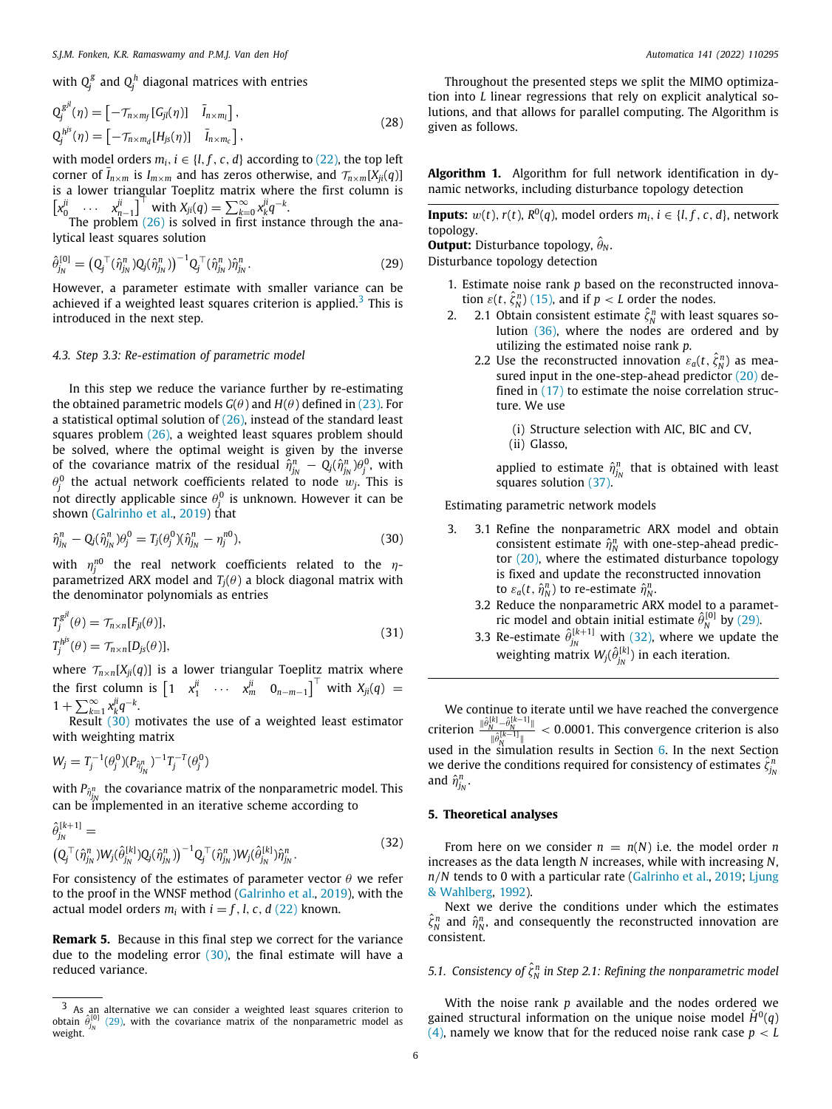$$
Q_j^{gl}(\eta) = \begin{bmatrix} -\mathcal{T}_{n \times m_f} [G_{jl}(\eta)] & \bar{I}_{n \times m_l} \end{bmatrix},
$$
  
\n
$$
Q_j^{h^{js}}(\eta) = \begin{bmatrix} -\mathcal{T}_{n \times m_d} [H_{js}(\eta)] & \bar{I}_{n \times m_c} \end{bmatrix},
$$
\n(28)

with model orders  $m_i$ ,  $i \in \{l, f, c, d\}$  according to [\(22\)](#page-4-5), the top left corner of  $\bar{I}_{n \times m}$  is  $I_{m \times m}$  and has zeros otherwise, and  $\tau_{n \times m}[X_{ii}(q)]$ is a lower triangular Toeplitz matrix where the first column is  $\left[x_0^{ji} \quad \cdots \quad x_{n-1}^{ji}\right]^{\top}$  with  $X_{ji}(q) = \sum_{k=0}^{\infty} x_k^{ji} q^{-k}$ .

The problem  $(26)$  is solved in first instance through the analytical least squares solution

$$
\hat{\theta}_{j_N}^{[0]} = (Q_j^\top (\hat{\eta}_{j_N}^n) Q_j (\hat{\eta}_{j_N}^n))^{-1} Q_j^\top (\hat{\eta}_{j_N}^n) \hat{\eta}_{j_N}^n. \tag{29}
$$

However, a parameter estimate with smaller variance can be achieved if a weighted least squares criterion is applied.<sup>[3](#page-5-2)</sup> This is introduced in the next step.

#### *4.3. Step 3.3: Re-estimation of parametric model*

In this step we reduce the variance further by re-estimating the obtained parametric models  $G(\theta)$  and  $H(\theta)$  defined in ([23](#page-4-7)). For a statistical optimal solution of  $(26)$ , instead of the standard least squares problem ([26](#page-4-6)), a weighted least squares problem should be solved, where the optimal weight is given by the inverse of the covariance matrix of the residual  $\hat{\eta}_{j_N}^n - Q_j(\hat{\eta}_{j_N}^n)\theta_j^0$ , with  $\theta_j^0$  the actual network coefficients related to node  $w_j$ . This is not directly applicable since  $\theta_j^0$  is unknown. However it can be shown [\(Galrinho et al.,](#page-11-16) [2019\)](#page-11-16) that

$$
\hat{\eta}_{j_N}^n - Q_j(\hat{\eta}_{j_N}^n)\theta_j^0 = T_j(\theta_j^0)(\hat{\eta}_{j_N}^n - \eta_j^{n0}),\tag{30}
$$

with  $\eta_j^{n0}$  the real network coefficients related to the  $\eta$ parametrized ARX model and  $T_i(\theta)$  a block diagonal matrix with the denominator polynomials as entries

$$
T_j^{gl}(\theta) = \mathcal{T}_{n \times n}[F_{jl}(\theta)],
$$
  
\n
$$
T_j^{h^{js}}(\theta) = \mathcal{T}_{n \times n}[D_{js}(\theta)],
$$
\n(31)

where  $\mathcal{T}_{n \times n}[X_{ji}(q)]$  is a lower triangular Toeplitz matrix where the first column is  $\begin{bmatrix} 1 & x_1^{ji} & \cdots & x_m^{ji} & 0_{n-m-1} \end{bmatrix}^T$  with  $X_{ji}(q) =$  $1 + \sum_{k=1}^{\infty} x_k^{ji} q^{-k}$ .

Result [\(30\)](#page-5-3) motivates the use of a weighted least estimator with weighting matrix

$$
W_j = T_j^{-1}(\theta_j^0)(P_{\hat{\eta}_{j_N}^n})^{-1}T_j^{-T}(\theta_j^0)
$$

with  $P_{\hat{\eta}^n_{j_N}}$  the covariance matrix of the nonparametric model. This can be implemented in an iterative scheme according to

$$
\hat{\theta}_{j_N}^{[k+1]} =\n\left(Q_j^\top(\hat{\eta}_{j_N}^n)W_j(\hat{\theta}_{j_N}^{[k]})Q_j(\hat{\eta}_{j_N}^n)\right)^{-1}Q_j^\top(\hat{\eta}_{j_N}^n)W_j(\hat{\theta}_{j_N}^{[k]})\hat{\eta}_{j_N}^n.
$$
\n(32)

For consistency of the estimates of parameter vector  $\theta$  we refer to the proof in the WNSF method [\(Galrinho et al.](#page-11-16), [2019\)](#page-11-16), with the actual model orders  $m_i$  with  $i = f, l, c, d$  [\(22\)](#page-4-5) known.

**Remark 5.** Because in this final step we correct for the variance due to the modeling error  $(30)$  $(30)$  $(30)$ , the final estimate will have a reduced variance.

Throughout the presented steps we split the MIMO optimization into *L* linear regressions that rely on explicit analytical solutions, and that allows for parallel computing. The Algorithm is given as follows.

**Algorithm 1.** Algorithm for full network identification in dynamic networks, including disturbance topology detection

**Inputs:**  $w(t)$ ,  $r(t)$ ,  $R^0(q)$ , model orders  $m_i$ ,  $i \in \{l, f, c, d\}$ , network topology.

**Output:** Disturbance topology,  $\hat{\theta}_N$ .

<span id="page-5-4"></span><span id="page-5-2"></span>Disturbance topology detection

- 1. Estimate noise rank *p* based on the reconstructed innovation  $\varepsilon(t, \hat{\zeta}_N^n)$  ([15\)](#page-3-3), and if  $p < L$  order the nodes.
- 2. 2.1 Obtain consistent estimate  $\hat{\zeta}_N^n$  with least squares solution ([36](#page-6-0)), where the nodes are ordered and by utilizing the estimated noise rank *p*.
	- 2.2 Use the reconstructed innovation  $\varepsilon_a(t, \hat{\zeta}_N^n)$  as measured input in the one-step-ahead predictor  $(20)$  $(20)$  defined in ([17](#page-3-1)) to estimate the noise correlation structure. We use
		- (i) Structure selection with AIC, BIC and CV,
		- (ii) Glasso,

applied to estimate  $\hat{\eta}^n_{j_N}$  that is obtained with least squares solution [\(37](#page-6-1)).

Estimating parametric network models

- <span id="page-5-3"></span>3. 3.1 Refine the nonparametric ARX model and obtain consistent estimate  $\hat{\eta}_N^n$  with one-step-ahead predictor ([20\)](#page-3-0), where the estimated disturbance topology is fixed and update the reconstructed innovation to  $\varepsilon_a(t, \hat{\eta}_N^n)$  to re-estimate  $\hat{\eta}_N^n$ .
	- 3.2 Reduce the nonparametric ARX model to a parametric model and obtain initial estimate  $\hat{\theta}_N^{[0]}$  by [\(29\)](#page-5-4).
	- 3.3 Re-estimate  $\hat{\theta}_{i_N}^{[k+1]}$  $j_N^{(k+1)}$  with [\(32\)](#page-5-5), where we update the weighting matrix  $W_j(\hat{\theta}_{i_N}^{[k]})$  $j_N^{(1,0)}$ ) in each iteration.

We continue to iterate until we have reached the convergence criterion  $\frac{\|\hat{\theta}_N^{[k]} - \hat{\theta}_N^{[k-1]} \|}{\| \hat{\theta}_N^{[k-1]}}$  $\frac{N^{\frac{1}{\omega_{N}}} - N}{\|\hat{\theta}_{N}^{[k-1]}\|}$  < 0.0001. This convergence criterion is also used in the simulation results in Section [6](#page-7-0). In the next Section we derive the conditions required for consistency of estimates  $\hat{\zeta}_{j_0}^n$ and  $\hat{\eta}_{j_N}^n$ .

#### **5. Theoretical analyses**

<span id="page-5-5"></span><span id="page-5-0"></span>From here on we consider  $n = n(N)$  i.e. the model order *n* increases as the data length *N* increases, while with increasing *N*, *n*/*N* tends to 0 with a particular rate [\(Galrinho et al.,](#page-11-16) [2019](#page-11-16); [Ljung](#page-11-34) [& Wahlberg,](#page-11-34) [1992\)](#page-11-34).

Next we derive the conditions under which the estimates  $\hat{\zeta}_N^n$  and  $\hat{\eta}_N^n$ , and consequently the reconstructed innovation are consistent.

# *5.1.* Consistency of  $\hat{\zeta}_N^n$  in Step 2.1: Refining the nonparametric model

<span id="page-5-1"></span>With the noise rank *p* available and the nodes ordered we gained structural information on the unique noise model  $\check{H}^0(q)$ ([4](#page-2-2)), namely we know that for the reduced noise rank case  $p < L$ 

<sup>3</sup> As an alternative we can consider a weighted least squares criterion to  $\hat{\theta}_{j_N}^{[0]}$ ([29\)](#page-5-4), with the covariance matrix of the nonparametric model as weight.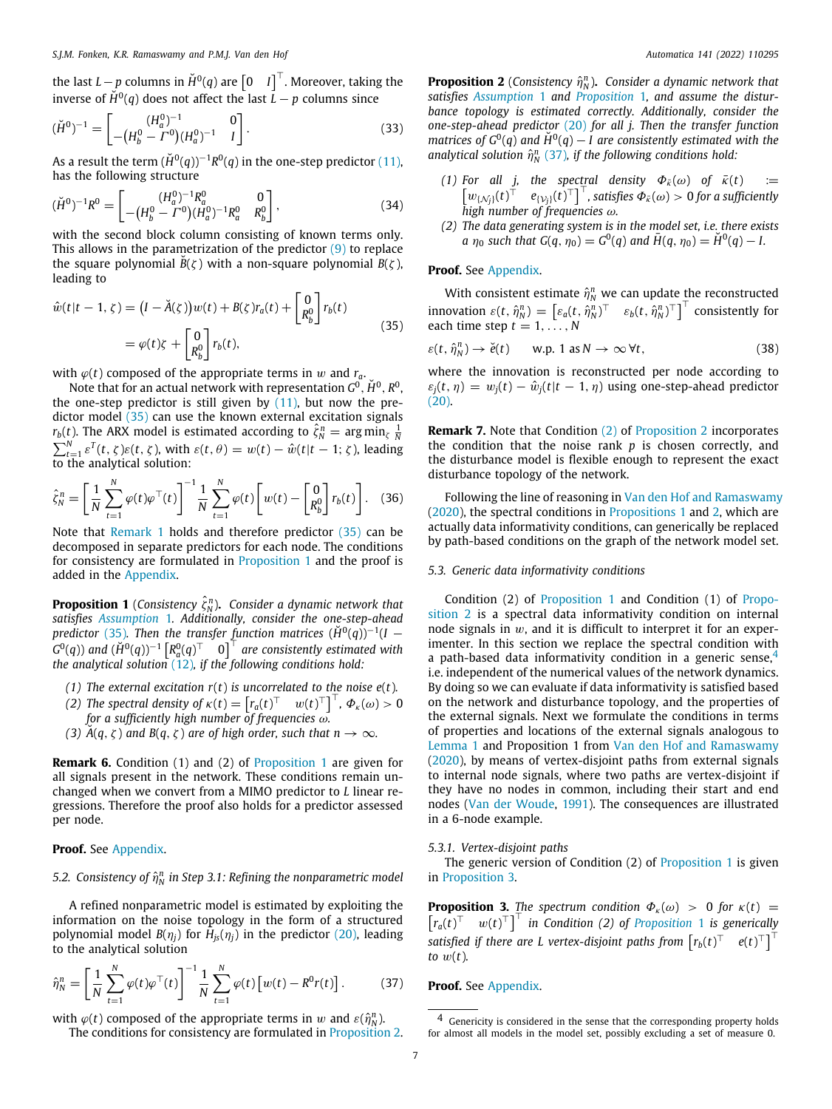the last  $L-p$  columns in  $\check{H}^0(q)$  are  $\begin{bmatrix} 0 & I \end{bmatrix}^\top$ . Moreover, taking the inverse of  $\check{H}^0(q)$  does not affect the last  $\vec{L} - p$  columns since

$$
(\check{H}^0)^{-1} = \begin{bmatrix} (H_a^0)^{-1} & 0\\ -(H_b^0 - \Gamma^0)(H_a^0)^{-1} & I \end{bmatrix}.
$$
 (33)

As a result the term  $(\breve{H}^{0}(q))^{-1}R^{0}(q)$  in the one-step predictor [\(11\)](#page-2-7), has the following structure

$$
(\check{H}^0)^{-1}R^0 = \begin{bmatrix} (H_a^0)^{-1}R_a^0 & 0\\ -(H_b^0 - \Gamma^0)(H_a^0)^{-1}R_a^0 & R_b^0 \end{bmatrix},
$$
\n(34)

with the second block column consisting of known terms only. This allows in the parametrization of the predictor  $(9)$  $(9)$  to replace the square polynomial  $\overline{B}(\zeta)$  with a non-square polynomial  $B(\zeta)$ , leading to

$$
\hat{w}(t|t-1,\zeta) = (I - \check{A}(\zeta))w(t) + B(\zeta)r_a(t) + \begin{bmatrix} 0\\ R_b^0 \end{bmatrix}r_b(t)
$$

$$
= \varphi(t)\zeta + \begin{bmatrix} 0\\ R_b^0 \end{bmatrix}r_b(t),
$$
(35)

with  $\varphi(t)$  composed of the appropriate terms in w and  $r_a$ .

Note that for an actual network with representation  $G^0$ ,  $\check{H}^0$ ,  $R^0$ , the one-step predictor is still given by  $(11)$ , but now the predictor model ([35](#page-6-2)) can use the known external excitation signals *r*<sub>*b*</sub>(*t*). The ARX model is estimated according to  $\hat{\zeta}_N^n = \arg \min_{\zeta} \frac{1}{N}$  $\sum_{t=1}^{N} \varepsilon^{T}(t, \zeta) \varepsilon(t, \zeta)$ , with  $\varepsilon(t, \theta) = w(t) - \hat{w}(t|t-1; \zeta)$ , leading to the analytical solution:

$$
\hat{\zeta}_N^n = \left[ \frac{1}{N} \sum_{t=1}^N \varphi(t) \varphi^\top(t) \right]^{-1} \frac{1}{N} \sum_{t=1}^N \varphi(t) \left[ w(t) - \begin{bmatrix} 0 \\ R_b^0 \end{bmatrix} r_b(t) \right]. \tag{36}
$$

Note that [Remark](#page-3-4) [1](#page-3-4) holds and therefore predictor ([35](#page-6-2)) can be decomposed in separate predictors for each node. The conditions for consistency are formulated in [Proposition](#page-6-3) [1](#page-6-3) and the proof is added in the [Appendix](#page-9-1).

<span id="page-6-3"></span>**Proposition 1** (*Consistency*  $\hat{\zeta}_N^n$ ). *Consider a dynamic network that satisfies [Assumption](#page-2-9)* [1](#page-2-9)*. Additionally, consider the one-step-ahead predictor* ([35](#page-6-2)). Then the transfer function matrices  $(H^0(q))^{-1}(I G^0(q)$ ) and  $(\breve{H}^0(q))^{-1}\begin{bmatrix} R^0_a(q)^\top & 0 \end{bmatrix}^\top$  are consistently estimated with *the analytical solution* ([12](#page-2-8))*, if the following conditions hold:*

- *(1) The external excitation r*(*t*) *is uncorrelated to the noise e*(*t*)*.*
- *(2) The spectral density of*  $\kappa(t) = \begin{bmatrix} r_a(t)^\top & w(t)^\top \end{bmatrix}^\top$ ,  $\Phi_{\kappa}(\omega) > 0$ *for a sufficiently high number of frequencies* ω*.*
- *(3)*  $\check{A}(q, \zeta)$  *and B*( $q, \zeta$ ) *are of high order, such that n*  $\rightarrow \infty$ *.*

**Remark 6.** Condition (1) and (2) of [Proposition](#page-6-3) [1](#page-6-3) are given for all signals present in the network. These conditions remain unchanged when we convert from a MIMO predictor to *L* linear regressions. Therefore the proof also holds for a predictor assessed per node.

### **Proof.** See [Appendix](#page-9-1).

5.2. Consistency of  $\hat{\eta}^n_N$  in Step 3.1: Refining the nonparametric model

A refined nonparametric model is estimated by exploiting the information on the noise topology in the form of a structured  $p$  polynomial model  $B(\eta_j)$  for  $H_{js}(\eta_j)$  in the predictor ([20](#page-3-0)), leading to the analytical solution

$$
\hat{\eta}_N^n = \left[ \frac{1}{N} \sum_{t=1}^N \varphi(t) \varphi^\top(t) \right]^{-1} \frac{1}{N} \sum_{t=1}^N \varphi(t) \left[ w(t) - R^0 r(t) \right]. \tag{37}
$$

with  $\varphi(t)$  composed of the appropriate terms in w and  $\varepsilon(\hat{\eta}_N^n)$ . The conditions for consistency are formulated in [Proposition](#page-6-4) [2.](#page-6-4)

**Proposition 2** (*Consistency*  $\hat{\eta}_N^n$ ). *Consider a dynamic network that satisfies [Assumption](#page-2-9)* [1](#page-2-9) *and [Proposition](#page-6-3)* [1](#page-6-3)*, and assume the disturbance topology is estimated correctly. Additionally, consider the one-step-ahead predictor* [\(20\)](#page-3-0) *for all j. Then the transfer function matrices of*  $G^0(q)$  and  $\check{H}^0(q) - I$  are consistently estimated with the analytical solution  $\hat{\eta}_N^n$  [\(37\)](#page-6-1), if the following conditions hold:

- *(1)* For all *j*, the spectral density  $\Phi_{\bar{k}}(\omega)$  of  $\bar{k}(t) :=$  $\begin{bmatrix} w_{\{N_j\}}(t)^\top & e_{\{V_j\}}(t)^\top \end{bmatrix}^\top$ , satisfies  $\Phi_{\bar{\kappa}}(\omega) > 0$  for a sufficiently *high number of frequencies* ω*.*
- <span id="page-6-5"></span>*(2) The data generating system is in the model set, i.e. there exists a*  $\eta_0$  *such that*  $G(q, \eta_0) = G^0(q)$  *and*  $\bar{H}(q, \eta_0) = \tilde{H}^0(q) - I$ .

# **Proof.** See [Appendix](#page-9-1).

With consistent estimate  $\hat{\eta}_N^n$  we can update the reconstructed  $\text{innovation } \varepsilon(t, \hat{\eta}_N^n) = \left[\varepsilon_a(t, \hat{\eta}_N^n)^\top \quad \varepsilon_b(t, \hat{\eta}_N^n)^\top\right]^\top \text{ consistently for}$ each time step  $t = 1, \ldots, N$ 

<span id="page-6-2"></span>
$$
\varepsilon(t, \hat{\eta}_N^n) \to \breve{e}(t) \qquad \text{w.p. } 1 \text{ as } N \to \infty \,\forall t,
$$
 (38)

where the innovation is reconstructed per node according to  $\varepsilon_i(t, \eta) = w_i(t) - \hat{w}_i(t|t-1, \eta)$  using one-step-ahead predictor  $(20)$  $(20)$  $(20)$ .

**Remark 7.** Note that Condition [\(2\)](#page-6-5) of [Proposition](#page-6-4) [2](#page-6-4) incorporates the condition that the noise rank *p* is chosen correctly, and the disturbance model is flexible enough to represent the exact disturbance topology of the network.

<span id="page-6-0"></span>Following the line of reasoning in [Van den Hof and Ramaswamy](#page-11-35) ([2020\)](#page-11-35), the spectral conditions in [Propositions](#page-6-3) [1](#page-6-3) and [2](#page-6-4), which are actually data informativity conditions, can generically be replaced by path-based conditions on the graph of the network model set.

#### *5.3. Generic data informativity conditions*

<span id="page-6-6"></span>Condition (2) of [Proposition](#page-6-3) [1](#page-6-3) and Condition (1) of [Propo](#page-6-4)[sition](#page-6-4) [2](#page-6-4) is a spectral data informativity condition on internal node signals in  $w$ , and it is difficult to interpret it for an experimenter. In this section we replace the spectral condition with a path-based data informativity condition in a generic sense,<sup>[4](#page-6-6)</sup> i.e. independent of the numerical values of the network dynamics. By doing so we can evaluate if data informativity is satisfied based on the network and disturbance topology, and the properties of the external signals. Next we formulate the conditions in terms of properties and locations of the external signals analogous to [Lemma](#page-2-4) [1](#page-2-4) and Proposition 1 from [Van den Hof and Ramaswamy](#page-11-35) ([2020\)](#page-11-35), by means of vertex-disjoint paths from external signals to internal node signals, where two paths are vertex-disjoint if they have no nodes in common, including their start and end nodes ([Van der Woude](#page-12-10), [1991](#page-12-10)). The consequences are illustrated in a 6-node example.

#### *5.3.1. Vertex-disjoint paths*

The generic version of Condition (2) of [Proposition](#page-6-3) [1](#page-6-3) is given in [Proposition](#page-6-7) [3](#page-6-7).

<span id="page-6-7"></span>**Proposition 3.** *The spectrum condition*  $\Phi_{\kappa}(\omega) > 0$  *for*  $\kappa(t) =$  $\begin{bmatrix} r_a(t)^\top & w(t)^\top \end{bmatrix}^\top$  *in Condition (2) of [Proposition](#page-6-3)* [1](#page-6-3) *is generically*  $\int$  satisfied if there are L vertex-disjoint paths from  $\left[r_b(t)^\top \quad e(t)^\top\right]^\top$ *to*  $w(t)$ *.* 

#### <span id="page-6-1"></span>**Proof.** See [Appendix](#page-9-1).

<span id="page-6-4"></span><sup>4</sup> Genericity is considered in the sense that the corresponding property holds for almost all models in the model set, possibly excluding a set of measure 0.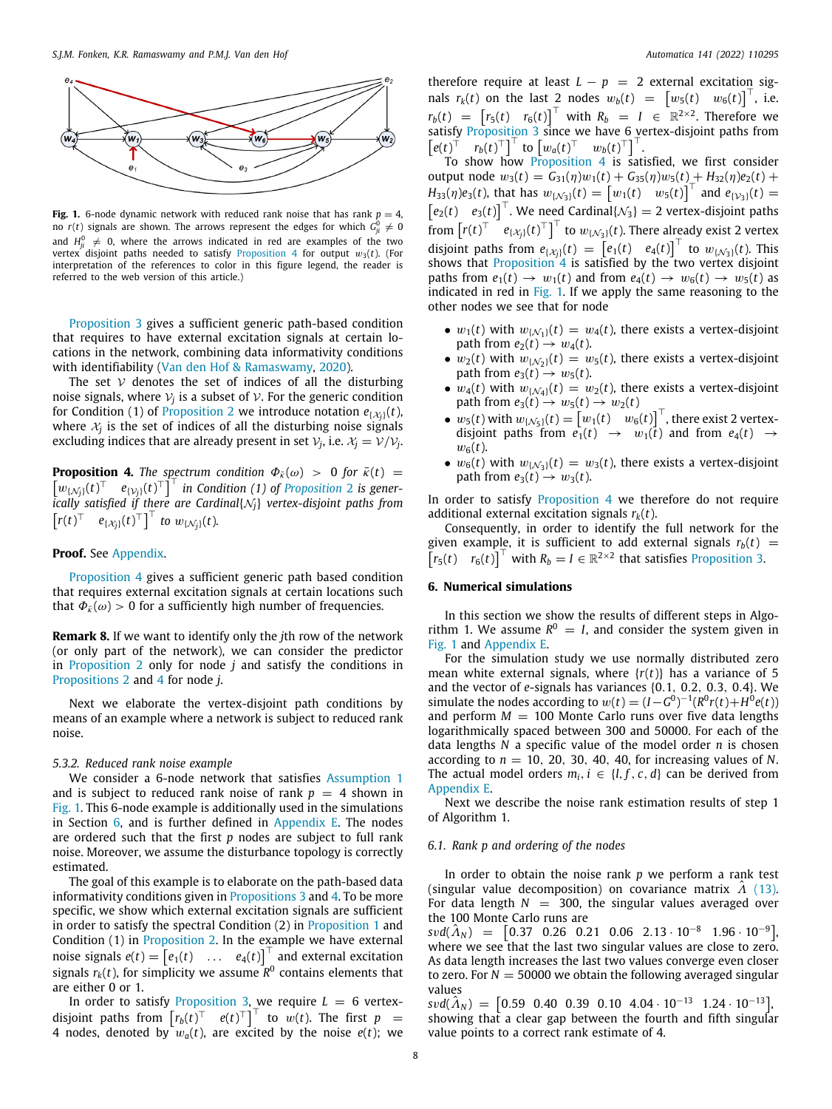

<span id="page-7-2"></span>**Fig. 1.** 6-node dynamic network with reduced rank noise that has rank  $p = 4$ , no  $r(t)$  signals are shown. The arrows represent the edges for which  $G_{ji}^0\neq0$ and  $H_{ji}^0 \neq 0$ , where the arrows indicated in red are examples of the two vertex disjoint paths needed to satisfy [Proposition](#page-7-1) [4](#page-7-1) for output  $w_3(t)$ . (For interpretation of the references to color in this figure legend, the reader is referred to the web version of this article.)

[Proposition](#page-6-7) [3](#page-6-7) gives a sufficient generic path-based condition that requires to have external excitation signals at certain locations in the network, combining data informativity conditions with identifiability ([Van den Hof & Ramaswamy](#page-11-35), [2020\)](#page-11-35).

The set  $\mathcal V$  denotes the set of indices of all the disturbing noise signals, where  $\mathcal{V}_j$  is a subset of  $\mathcal{V}.$  For the generic condition for Condition (1) of [Proposition](#page-6-4) [2](#page-6-4) we introduce notation  $e_{\{\mathcal{X}_{j}\}}(t)$ , where  $x_j$  is the set of indices of all the disturbing noise signals excluding indices that are already present in set  $V_j$ , i.e.  $\mathcal{X}_j = \mathcal{V}/\mathcal{V}_j$ .

**Proposition 4.** *The spectrum condition*  $\Phi_{\bar{k}}(\omega) > 0$  *for*  $\bar{k}(t) =$  $\left[w_{\{N_j\}}(t)^\top \quad e_{\{V_j\}}(t)^\top\right]^\top$  in Condition (1) of *[Proposition](#page-6-4)* [2](#page-6-4) is gener*ically satisfied if there are Cardinal*{N*j*} *vertex-disjoint paths from*  $\left[ r(t)^\top \quad e_{\{X_j\}}(t)^\top \right]^\top$  to  $w_{\{\mathcal{N}_j\}}(t)$ .

# **Proof.** See [Appendix](#page-9-1).

[Proposition](#page-7-1) [4](#page-7-1) gives a sufficient generic path based condition that requires external excitation signals at certain locations such that  $\Phi_{\vec{k}}(\omega) > 0$  for a sufficiently high number of frequencies.

**Remark 8.** If we want to identify only the *j*th row of the network (or only part of the network), we can consider the predictor in [Proposition](#page-6-4) [2](#page-6-4) only for node *j* and satisfy the conditions in [Propositions](#page-6-4) [2](#page-6-4) and [4](#page-7-1) for node *j*.

Next we elaborate the vertex-disjoint path conditions by means of an example where a network is subject to reduced rank noise.

#### *5.3.2. Reduced rank noise example*

<span id="page-7-3"></span>We consider a 6-node network that satisfies [Assumption](#page-2-9) [1](#page-2-9) and is subject to reduced rank noise of rank  $p = 4$  shown in [Fig.](#page-7-2) [1.](#page-7-2) This 6-node example is additionally used in the simulations in Section [6](#page-7-0), and is further defined in [Appendix](#page-11-36) [E.](#page-11-36) The nodes are ordered such that the first *p* nodes are subject to full rank noise. Moreover, we assume the disturbance topology is correctly estimated.

The goal of this example is to elaborate on the path-based data informativity conditions given in [Propositions](#page-6-7) [3](#page-6-7) and [4](#page-7-1). To be more specific, we show which external excitation signals are sufficient in order to satisfy the spectral Condition (2) in [Proposition](#page-6-3) [1](#page-6-3) and Condition (1) in [Proposition](#page-6-4) [2](#page-6-4). In the example we have external noise signals  $e(t) = \begin{bmatrix} e_1(t) & \dots & e_4(t) \end{bmatrix}^\top$  and external excitation signals  $r_k(t)$ , for simplicity we assume  $\overline{R}^0$  contains elements that are either 0 or 1.

In order to satisfy [Proposition](#page-6-7) [3,](#page-6-7) we require  $L = 6$  vertexdisjoint paths from  $\left[ r_b(t)^\top \quad e(t)^\top \right]^\top$  to w(*t*). The first  $p =$ 4 nodes, denoted by  $w_a(t)$ , are excited by the noise  $e(t)$ ; we therefore require at least  $L - p = 2$  external excitation signals  $r_k(t)$  on the last 2 nodes  $w_b(t) = \begin{bmatrix} w_5(t) & w_6(t) \end{bmatrix}^\top$ , i.e.  $r_b(t) = \begin{bmatrix} r_5(t) & r_6(t) \end{bmatrix}^\top$  with  $R_b = I \in \mathbb{R}^{2 \times 2}$ . Therefore we satisfy [Proposition](#page-6-7) [3](#page-6-7) since we have 6 vertex-disjoint paths from  $\left[ e(t)^\top \quad r_b(t)^\top \right]^\top$  to  $\left[ w_a(t)^\top \quad w_b(t)^\top \right]^\top$ .

To show how [Proposition](#page-7-1) [4](#page-7-1) is satisfied, we first consider output node  $w_3(t) = G_{31}(\eta)w_1(t) + G_{35}(\eta)w_5(t) + H_{32}(\eta)e_2(t) +$ *H*<sub>33</sub>(*n*)*e*<sub>3</sub>(*t*), that has  $w_{\{N_3\}}(t) = \left[w_1(t) \quad w_5(t)\right]^T$  and  $e_{\{V_3\}}(t) =$  $\begin{bmatrix} e_2(t) & e_3(t) \end{bmatrix}^\top$ . We need Cardinal $\{N_3\} = 2$  vertex-disjoint paths from  $\left[r(t)^\top\right]^\top e_{\{\lambda_j\}}(t)^\top\right]^\top$  to  $w_{\{\mathcal{N}_3\}}(t)$ . There already exist 2 vertex disjoint paths from  $e_{\{X_j\}}(t) = \begin{bmatrix} e_1(t) & e_4(t) \end{bmatrix}^\top$  to  $w_{\{X_j\}}(t)$ . This shows that [Proposition](#page-7-1) [4](#page-7-1) is satisfied by the two vertex disjoint paths from  $e_1(t) \rightarrow w_1(t)$  and from  $e_4(t) \rightarrow w_6(t) \rightarrow w_5(t)$  as indicated in red in [Fig.](#page-7-2) [1](#page-7-2). If we apply the same reasoning to the other nodes we see that for node

- $w_1(t)$  with  $w_{\{N_1\}}(t) = w_4(t)$ , there exists a vertex-disjoint path from  $e_2(t) \rightarrow w_4(t)$ .
- $w_2(t)$  with  $w_1(x_2)(t) = w_5(t)$ , there exists a vertex-disjoint path from  $e_3(t) \rightarrow w_5(t)$ .
- $w_4(t)$  with  $w_{\{N_4\}}(t) = w_2(t)$ , there exists a vertex-disjoint path from  $e_3(t) \rightarrow w_5(t) \rightarrow w_2(t)$
- $w_5(t)$  with  $w_{\{N_5\}}(t) = \begin{bmatrix} w_1(t) & w_6(t) \end{bmatrix}^\top$ , there exist 2 vertexdisjoint paths from  $e_1(t) \rightarrow w_1(t)$  and from  $e_4(t) \rightarrow$  $w_6(t)$ .
- <span id="page-7-1"></span>•  $w_6(t)$  with  $w_{\lbrace \mathcal{N}_3 \rbrace}(t) = w_3(t)$ , there exists a vertex-disjoint path from  $e_3(t) \rightarrow w_3(t)$ .

In order to satisfy **[Proposition](#page-7-1) [4](#page-7-1)** we therefore do not require additional external excitation signals  $r_k(t)$ .

Consequently, in order to identify the full network for the given example, it is sufficient to add external signals  $r_b(t)$  =  $\begin{bmatrix} r_5(t) & r_6(t) \end{bmatrix}^\top$  with  $R_b = I \in \mathbb{R}^{2 \times 2}$  that satisfies [Proposition](#page-6-7) [3](#page-6-7).

# **6. Numerical simulations**

<span id="page-7-0"></span>In this section we show the results of different steps in Algorithm 1. We assume  $R^0 = I$ , and consider the system given in [Fig.](#page-7-2) [1](#page-7-2) and [Appendix](#page-11-36) [E](#page-11-36).

For the simulation study we use normally distributed zero mean white external signals, where {*r*(*t*)} has a variance of 5 and the vector of *e*-signals has variances {0.1, 0.2, 0.3, 0.4}. We simulate the nodes according to  $w(t) = (I - G^0)^{-1}(R^0 r(t) + H^0 e(t))$ and perform  $M = 100$  Monte Carlo runs over five data lengths logarithmically spaced between 300 and 50000. For each of the data lengths *N* a specific value of the model order *n* is chosen according to  $n = 10, 20, 30, 40, 40$ , for increasing values of N. The actual model orders  $m_i$ ,  $i \in \{l, f, c, d\}$  can be derived from [Appendix](#page-11-36) [E.](#page-11-36)

Next we describe the noise rank estimation results of step 1 of Algorithm 1.

#### *6.1. Rank p and ordering of the nodes*

In order to obtain the noise rank *p* we perform a rank test (singular value decomposition) on covariance matrix  $\Lambda$  [\(13\)](#page-3-5). For data length  $N = 300$ , the singular values averaged over the 100 Monte Carlo runs are

 $svd(\hat{A}_N) = [0.37 \quad 0.26 \quad 0.21 \quad 0.06 \quad 2.13 \cdot 10^{-8} \quad 1.96 \cdot 10^{-9}]$ where we see that the last two singular values are close to zero. As data length increases the last two values converge even closer to zero. For  $N = 50000$  we obtain the following averaged singular values

 $svd(\hat{\Lambda}_N) = [0.59 \ 0.40 \ 0.39 \ 0.10 \ 4.04 \cdot 10^{-13} \ 1.24 \cdot 10^{-13}]$ showing that a clear gap between the fourth and fifth singular value points to a correct rank estimate of 4.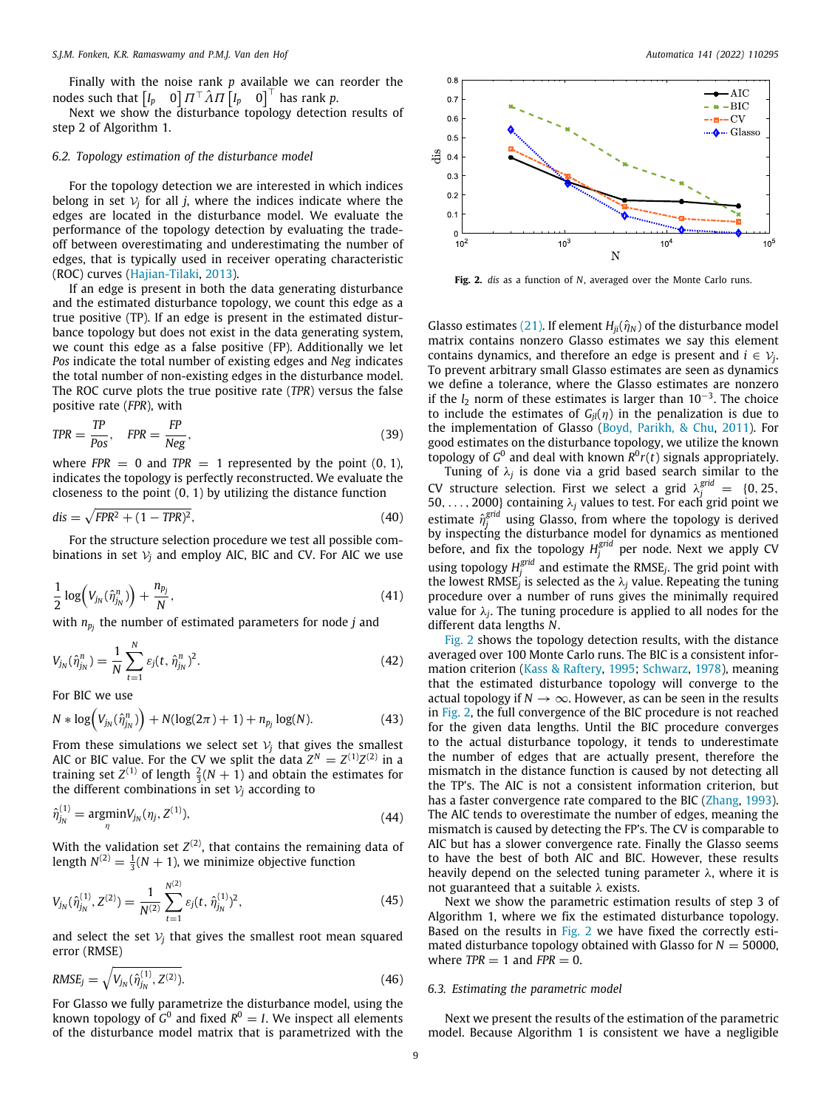Finally with the noise rank *p* available we can reorder the nodes such that  $\begin{bmatrix} I_p & 0 \end{bmatrix} \Pi^\top \hat{\Lambda} \Pi \begin{bmatrix} I_p & 0 \end{bmatrix}^\top$  has rank p.

Next we show the disturbance topology detection results of step 2 of Algorithm 1.

### *6.2. Topology estimation of the disturbance model*

For the topology detection we are interested in which indices belong in set  $\mathcal{V}_j$  for all *j*, where the indices indicate where the edges are located in the disturbance model. We evaluate the performance of the topology detection by evaluating the tradeoff between overestimating and underestimating the number of edges, that is typically used in receiver operating characteristic (ROC) curves [\(Hajian-Tilaki](#page-11-37), [2013](#page-11-37)).

If an edge is present in both the data generating disturbance and the estimated disturbance topology, we count this edge as a true positive (TP). If an edge is present in the estimated disturbance topology but does not exist in the data generating system, we count this edge as a false positive (FP). Additionally we let *Pos* indicate the total number of existing edges and *Neg* indicates the total number of non-existing edges in the disturbance model. The ROC curve plots the true positive rate (*TPR*) versus the false positive rate (*FPR*), with

$$
TPR = \frac{TP}{Pos}, \quad FPR = \frac{FP}{Neg}, \tag{39}
$$

where  $FPR = 0$  and  $TPR = 1$  represented by the point  $(0, 1)$ , indicates the topology is perfectly reconstructed. We evaluate the closeness to the point (0, 1) by utilizing the distance function

$$
dis = \sqrt{FPR^2 + (1 - TPR)^2},\tag{40}
$$

For the structure selection procedure we test all possible combinations in set  $V_i$  and employ AIC, BIC and CV. For AIC we use

$$
\frac{1}{2}\log\Bigl(V_{j_N}(\hat{\eta}_{j_N}^n)\Bigr) + \frac{n_{p_j}}{N},\qquad(41)
$$

with *n<sup>p</sup><sup>j</sup>* the number of estimated parameters for node *j* and

$$
V_{j_N}(\hat{\eta}_{j_N}^n) = \frac{1}{N} \sum_{t=1}^N \varepsilon_j(t, \hat{\eta}_{j_N}^n)^2.
$$
 (42)

For BIC we use

$$
N * \log (V_{j_N}(\hat{\eta}_{j_N}^n)) + N(\log(2\pi) + 1) + n_{p_j} \log(N). \tag{43}
$$

From these simulations we select set  $V_i$  that gives the smallest AIC or BIC value. For the CV we split the data  $Z^N = Z^{(1)}Z^{(2)}$  in a training set  $Z^{(1)}$  of length  $\frac{2}{3}(N+1)$  and obtain the estimates for the different combinations in set  $V_i$  according to

$$
\hat{\eta}_{j_N}^{(1)} = \underset{\eta}{\text{argmin}} V_{j_N}(\eta_j, Z^{(1)}), \tag{44}
$$

With the validation set  $Z^{(2)}$ , that contains the remaining data of length  $N^{(2)} = \frac{1}{3}(N + 1)$ , we minimize objective function

$$
V_{j_N}(\hat{\eta}_{j_N}^{(1)}, Z^{(2)}) = \frac{1}{N^{(2)}} \sum_{t=1}^{N^{(2)}} \varepsilon_j(t, \hat{\eta}_{j_N}^{(1)})^2,
$$
\n(45)

and select the set  $V_i$  that gives the smallest root mean squared error (RMSE)

$$
RMSE_j = \sqrt{V_{j_N}(\hat{\eta}_{j_N}^{(1)}, Z^{(2)})}.
$$
\n(46)

For Glasso we fully parametrize the disturbance model, using the known topology of  $G^0$  and fixed  $R^0 = I$ . We inspect all elements of the disturbance model matrix that is parametrized with the



<span id="page-8-0"></span>**Fig. 2.** *dis* as a function of *N*, averaged over the Monte Carlo runs.

Glasso estimates ([21](#page-4-1)). If element  $H_{ii}(\hat{\eta}_N)$  of the disturbance model matrix contains nonzero Glasso estimates we say this element contains dynamics, and therefore an edge is present and  $i \in V_j$ . To prevent arbitrary small Glasso estimates are seen as dynamics we define a tolerance, where the Glasso estimates are nonzero if the *l*<sup>2</sup> norm of these estimates is larger than 10−<sup>3</sup> . The choice to include the estimates of  $G_i(n)$  in the penalization is due to the implementation of Glasso ([Boyd, Parikh, & Chu](#page-11-38), [2011](#page-11-38)). For good estimates on the disturbance topology, we utilize the known topology of  $G^0$  and deal with known  $R^0r(t)$  signals appropriately.

Tuning of λ*<sup>j</sup>* is done via a grid based search similar to the CV structure selection. First we select a grid  $\lambda_j^{grid} = \{0, 25, \dots, 25\}$ 50, . . . , 2000} containing  $\lambda_j$  values to test. For each grid point we estimate  $\hat{\eta}^{grid}_j$  using Glasso, from where the topology is derived by inspecting the disturbance model for dynamics as mentioned before, and fix the topology  $H_j^{grid}$  per node. Next we apply CV using topology  $H_j^{\text{grid}}$  and estimate the RMSE<sub>*j*</sub>. The grid point with the lowest RMSE<sub>j</sub> is selected as the  $\lambda_j$  value. Repeating the tuning procedure over a number of runs gives the minimally required value for  $\lambda_j$ . The tuning procedure is applied to all nodes for the different data lengths *N*.

[Fig.](#page-8-0) [2](#page-8-0) shows the topology detection results, with the distance averaged over 100 Monte Carlo runs. The BIC is a consistent information criterion [\(Kass & Raftery](#page-11-31), [1995;](#page-11-31) [Schwarz,](#page-11-32) [1978\)](#page-11-32), meaning that the estimated disturbance topology will converge to the actual topology if  $N \to \infty$ . However, as can be seen in the results in [Fig.](#page-8-0) [2,](#page-8-0) the full convergence of the BIC procedure is not reached for the given data lengths. Until the BIC procedure converges to the actual disturbance topology, it tends to underestimate the number of edges that are actually present, therefore the mismatch in the distance function is caused by not detecting all the TP's. The AIC is not a consistent information criterion, but has a faster convergence rate compared to the BIC ([Zhang](#page-12-11), [1993\)](#page-12-11). The AIC tends to overestimate the number of edges, meaning the mismatch is caused by detecting the FP's. The CV is comparable to AIC but has a slower convergence rate. Finally the Glasso seems to have the best of both AIC and BIC. However, these results heavily depend on the selected tuning parameter  $\lambda$ , where it is not guaranteed that a suitable  $\lambda$  exists.

Next we show the parametric estimation results of step 3 of Algorithm 1, where we fix the estimated disturbance topology. Based on the results in [Fig.](#page-8-0) [2](#page-8-0) we have fixed the correctly estimated disturbance topology obtained with Glasso for  $N = 50000$ , where  $TPR = 1$  and  $FPR = 0$ .

#### *6.3. Estimating the parametric model*

Next we present the results of the estimation of the parametric model. Because Algorithm 1 is consistent we have a negligible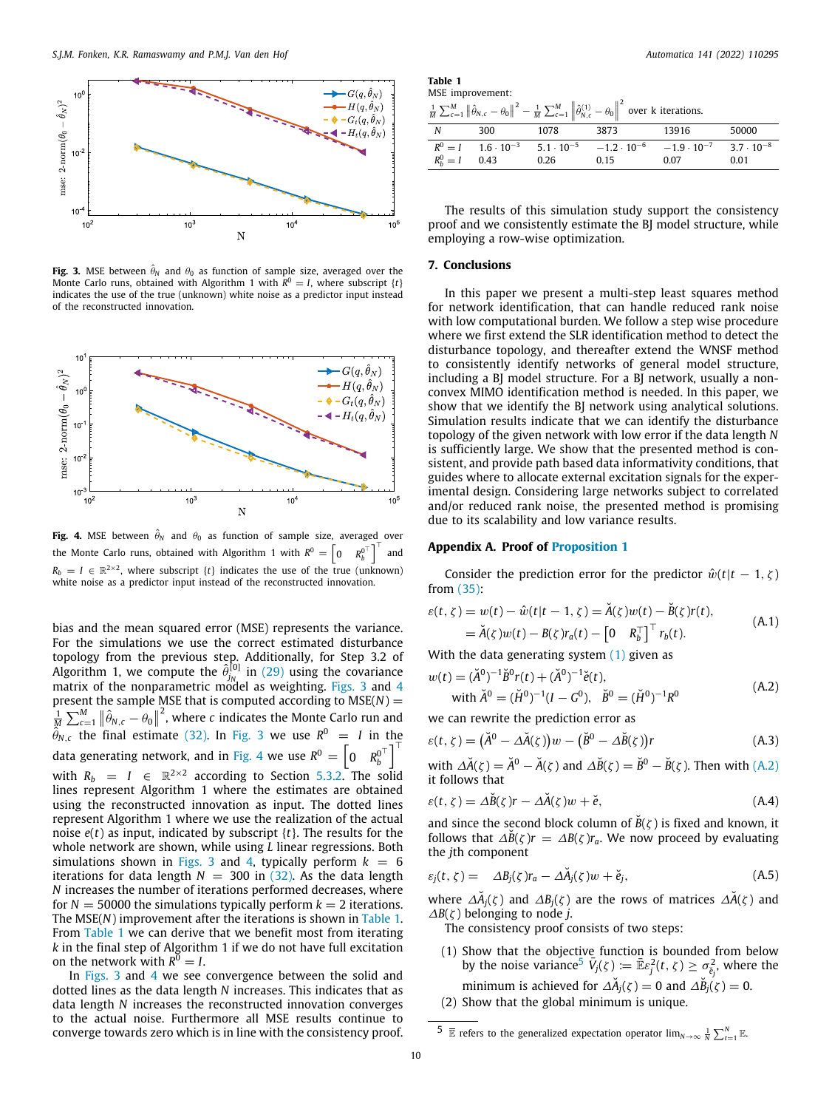

<span id="page-9-2"></span>**Fig. 3.** MSE between  $\hat{\theta}_N$  and  $\theta_0$  as function of sample size, averaged over the Monte Carlo runs, obtained with Algorithm 1 with  $R^0 = I$ , where subscript  $\{t\}$ indicates the use of the true (unknown) white noise as a predictor input instead of the reconstructed innovation.



<span id="page-9-3"></span>**Fig. 4.** MSE between  $\hat{\theta}_N$  and  $\theta_0$  as function of sample size, averaged over the Monte Carlo runs, obtained with Algorithm 1 with  $R^0 = \begin{bmatrix} 0 & R_b^{0^{\top}} \end{bmatrix}$ ]⊤ and  $R_b = I \in \mathbb{R}^{2 \times 2}$ , where subscript {*t*} indicates the use of the true (unknown) white noise as a predictor input instead of the reconstructed innovation.

bias and the mean squared error (MSE) represents the variance. For the simulations we use the correct estimated disturbance topology from the previous step. Additionally, for Step 3.2 of Algorithm 1, we compute the  $\hat{\theta}_{i_{\alpha}}^{[0]}$  in (29) using the covariance  $j_N^{[0]}$  in ([29](#page-5-4)) using the covariance matrix of the nonparametric model as weighting. [Figs.](#page-9-2) [3](#page-9-2) and [4](#page-9-3) present the sample MSE that is computed according to  $MSE(N) =$  $\frac{1}{M} \sum_{c=1}^{M} \|\hat{\theta}_{N,c} - \theta_0\|^2$ , where *c* indicates the Monte Carlo run and  $\hat{\theta}_{N,c}$  the final estimate [\(32](#page-5-5)). In [Fig.](#page-9-2) [3](#page-9-2) we use  $R^0 = I$  in the data generating network, and in [Fig.](#page-9-3) [4](#page-9-3) we use  $R^0 = \begin{bmatrix} 0 & R^0_h \end{bmatrix}^T$ *b* ]⊤ with  $R_b = I \in \mathbb{R}^{2 \times 2}$  according to Section [5.3.2.](#page-7-3) The solid lines represent Algorithm 1 where the estimates are obtained using the reconstructed innovation as input. The dotted lines represent Algorithm 1 where we use the realization of the actual noise *e*(*t*) as input, indicated by subscript {*t*}. The results for the whole network are shown, while using *L* linear regressions. Both simulations shown in [Figs.](#page-9-2) [3](#page-9-2) and [4](#page-9-3), typically perform  $k = 6$ iterations for data length  $N = 300$  in ([32](#page-5-5)). As the data length *N* increases the number of iterations performed decreases, where for  $N = 50000$  the simulations typically perform  $k = 2$  iterations. The MSE(*N*) improvement after the iterations is shown in [Table](#page-9-4) [1.](#page-9-4) From [Table](#page-9-4) [1](#page-9-4) we can derive that we benefit most from iterating *k* in the final step of Algorithm 1 if we do not have full excitation on the network with  $R^{\overline{0}} = I$ .

In [Figs.](#page-9-2) [3](#page-9-2) and [4](#page-9-3) we see convergence between the solid and dotted lines as the data length *N* increases. This indicates that as data length *N* increases the reconstructed innovation converges to the actual noise. Furthermore all MSE results continue to converge towards zero which is in line with the consistency proof.

| Table 1 |                  |
|---------|------------------|
|         | MSE improvement: |

<span id="page-9-4"></span>

| <sup>1</sup> . $\sum_{c=1}^{M}   \hat{\theta}_{N,c} - \theta_0  ^2 - \frac{1}{M} \sum_{c=1}^{M}   \hat{\theta}_{N,c}^{(1)} - \theta_0  ^2$ over k iterations. |
|---------------------------------------------------------------------------------------------------------------------------------------------------------------|
|---------------------------------------------------------------------------------------------------------------------------------------------------------------|

| $\overline{M}$ $\angle c=1$ $\Vert \overline{v}_{N,c} - \overline{v}_0 \Vert = \overline{M}$ $\angle c=1$ $\Vert \overline{v}_{N,c} - \overline{v}_0 \Vert$ over K iterations. |     |      |      |                                                                                                                 |       |  |
|--------------------------------------------------------------------------------------------------------------------------------------------------------------------------------|-----|------|------|-----------------------------------------------------------------------------------------------------------------|-------|--|
| N                                                                                                                                                                              | 300 | 1078 | 3873 | 13916                                                                                                           | 50000 |  |
|                                                                                                                                                                                |     |      |      | $R^0 = I$ $1.6 \cdot 10^{-3}$ $5.1 \cdot 10^{-5}$ $-1.2 \cdot 10^{-6}$ $-1.9 \cdot 10^{-7}$ $3.7 \cdot 10^{-8}$ |       |  |
| $R_h^0 = I$ 0.43                                                                                                                                                               |     | 0.26 | 0.15 | 0.07                                                                                                            | 0.01  |  |

The results of this simulation study support the consistency proof and we consistently estimate the BJ model structure, while employing a row-wise optimization.

#### **7. Conclusions**

<span id="page-9-0"></span>In this paper we present a multi-step least squares method for network identification, that can handle reduced rank noise with low computational burden. We follow a step wise procedure where we first extend the SLR identification method to detect the disturbance topology, and thereafter extend the WNSF method to consistently identify networks of general model structure, including a BJ model structure. For a BJ network, usually a nonconvex MIMO identification method is needed. In this paper, we show that we identify the BJ network using analytical solutions. Simulation results indicate that we can identify the disturbance topology of the given network with low error if the data length *N* is sufficiently large. We show that the presented method is consistent, and provide path based data informativity conditions, that guides where to allocate external excitation signals for the experimental design. Considering large networks subject to correlated and/or reduced rank noise, the presented method is promising due to its scalability and low variance results.

#### **Appendix A. Proof of [Proposition](#page-6-3) [1](#page-6-3)**

<span id="page-9-1"></span>Consider the prediction error for the predictor  $\hat{w}(t|t-1, \zeta)$ from ([35\)](#page-6-2):

$$
\varepsilon(t,\zeta) = w(t) - \hat{w}(t|t-1,\zeta) = \check{A}(\zeta)w(t) - \check{B}(\zeta)r(t),
$$
  
=  $\check{A}(\zeta)w(t) - B(\zeta)r_a(t) - \begin{bmatrix} 0 & R_b^{\top} \end{bmatrix}^{\top}r_b(t).$  (A.1)

With the data generating system  $(1)$  $(1)$  given as

<span id="page-9-5"></span>
$$
w(t) = (\check{A}^{0})^{-1}\check{B}^{0}r(t) + (\check{A}^{0})^{-1}\check{e}(t),
$$
  
with  $\check{A}^{0} = (\check{H}^{0})^{-1}(I - G^{0}), \quad \check{B}^{0} = (\check{H}^{0})^{-1}R^{0}$  (A.2)

we can rewrite the prediction error as

$$
\varepsilon(t,\zeta) = (\check{A}^0 - \Delta \check{A}(\zeta))w - (\check{B}^0 - \Delta \check{B}(\zeta))r
$$
 (A.3)

with  $\Delta \check{A}(\zeta) = \check{A}^0 - \check{A}(\zeta)$  and  $\Delta \check{B}(\zeta) = \check{B}^0 - \check{B}(\zeta)$ . Then with [\(A.2\)](#page-9-5) it follows that

$$
\varepsilon(t,\zeta) = \Delta \breve{B}(\zeta)r - \Delta \breve{A}(\zeta)w + \breve{e},\tag{A.4}
$$

and since the second block column of  $\tilde{B}(\zeta)$  is fixed and known, it follows that  $\Delta B(\zeta)r = \Delta B(\zeta)r_a$ . We now proceed by evaluating the *j*th component

$$
\varepsilon_j(t,\zeta) = \Delta B_j(\zeta) r_a - \Delta \breve{A}_j(\zeta) w + \breve{e}_j, \tag{A.5}
$$

where  $\Delta \check{A}_j(\zeta)$  and  $\Delta B_j(\zeta)$  are the rows of matrices  $\Delta \check{A}(\zeta)$  and  $\Delta B(\zeta)$  belonging to node *j*.

<span id="page-9-7"></span>The consistency proof consists of two steps:

- <span id="page-9-6"></span>(1) Show that the objective function is bounded from below by the noise variance<sup>[5](#page-9-6)</sup>  $\bar{V}_j(\zeta) := \bar{\mathbb{E}} \varepsilon_j^2(t, \zeta) \ge \sigma_{\breve{e}_j}^2$ , where the minimum is achieved for  $\Delta \check{A}_j(\zeta) = 0$  and  $\Delta \check{B}_j(\zeta) = 0$ .
- (2) Show that the global minimum is unique.

 $\overline{5}$   $\overline{\mathbb{E}}$  refers to the generalized expectation operator  $\lim_{N\to\infty}\frac{1}{N}\sum_{t=1}^{N}\mathbb{E}$ .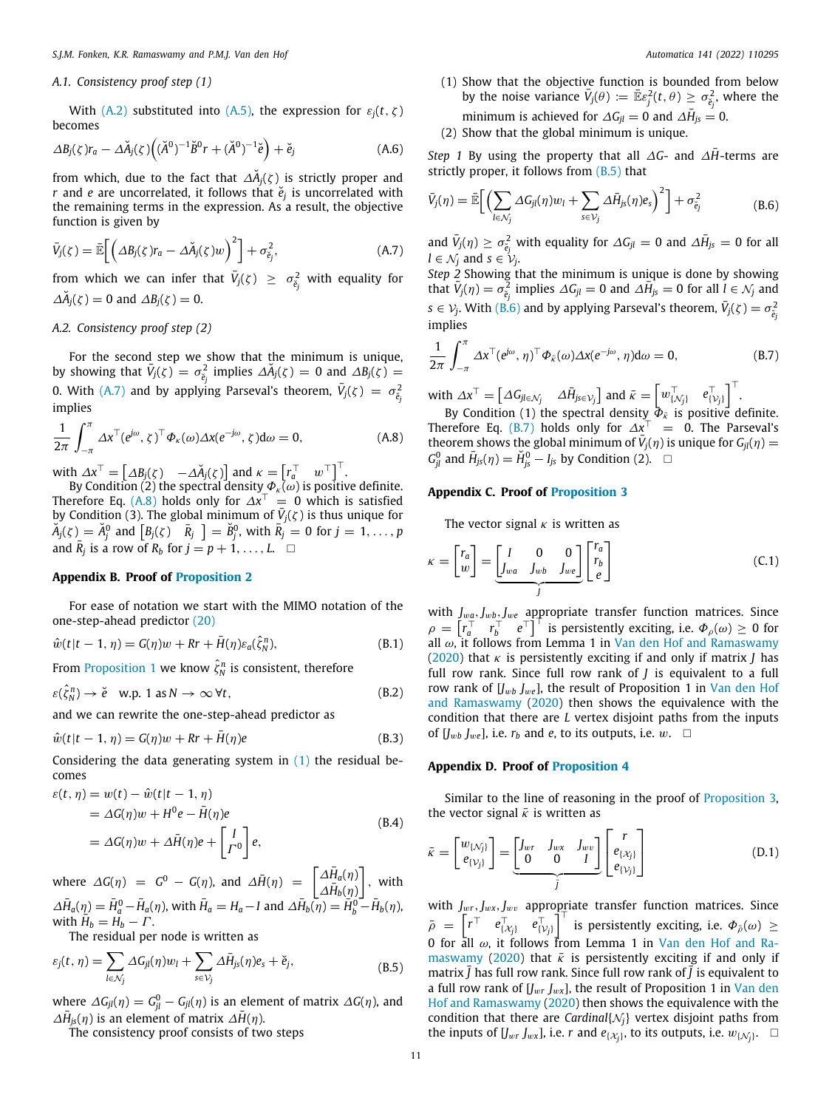#### *A.1. Consistency proof step (1)*

With ([A.2](#page-9-5)) substituted into ([A.5\)](#page-9-7), the expression for  $\varepsilon_i(t, \zeta)$ becomes

$$
\Delta B_j(\zeta)r_a - \Delta \breve{A}_j(\zeta) \Big( (\breve{A}^0)^{-1} \breve{B}^0 r + (\breve{A}^0)^{-1} \breve{e} \Big) + \breve{e}_j \tag{A.6}
$$

from which, due to the fact that  $\Delta \breve{A}_j(\zeta)$  is strictly proper and *r* and *e* are uncorrelated, it follows that *e*˘*<sup>j</sup>* is uncorrelated with the remaining terms in the expression. As a result, the objective function is given by

$$
\bar{V}_j(\zeta) = \mathbb{\bar{E}}\bigg[\bigg(\Delta B_j(\zeta)r_a - \Delta \check{A}_j(\zeta)w\bigg)^2\bigg] + \sigma_{\tilde{e}_j}^2,\tag{A.7}
$$

from which we can infer that  $\bar{V}_j(\zeta) \geq \sigma_{\breve{e}_j}^2$  with equality for  $\Delta \check{A}_j(\zeta) = 0$  and  $\Delta B_j(\zeta) = 0$ .

#### *A.2. Consistency proof step (2)*

For the second step we show that the minimum is unique, by showing that  $\overline{V}_j(\zeta) = \sigma_{\breve{e}_j}^2$  implies  $\Delta \breve{A}_j(\zeta) = 0$  and  $\Delta B_j(\zeta) =$ 0. With [\(A.7\)](#page-10-0) and by applying Parseval's theorem,  $\bar{V}_j(\zeta) = \sigma_{\breve{e}_j}^2$ implies

$$
\frac{1}{2\pi} \int_{-\pi}^{\pi} \Delta x^{\top} (e^{j\omega}, \zeta)^{\top} \Phi_{\kappa}(\omega) \Delta x (e^{-j\omega}, \zeta) d\omega = 0, \tag{A.8}
$$

with  $\varDelta x^{\top} = \begin{bmatrix} \varDelta B_j(\zeta) & -\varDelta \check{A}_j(\zeta) \end{bmatrix}$  and  $\kappa = \begin{bmatrix} r_a^{\top} & w^{\top} \end{bmatrix}^{\top}$ .

By Condition (2) the spectral density  $\varPhi_\kappa(\omega)$  is positive definite. Therefore Eq. ([A.8](#page-10-1)) holds only for  $\Delta x^{\top} = 0$  which is satisfied by Condition (3). The global minimum of  $\bar{V}_j(\zeta)$  is thus unique for  $\widetilde{A}_j(\zeta) = \widetilde{A}_j^0$  and  $\left[ B_j(\zeta) \right]$   $\widetilde{R}_j$   $\left] = \widetilde{B}_j^0$ , with  $\overline{R}_j = 0$  for  $j = 1, \ldots, p$ and  $\bar{R}_j$  is a row of  $R_b$  for  $j = p + 1, \ldots, L$ . □

#### **Appendix B. Proof of [Proposition](#page-6-4) [2](#page-6-4)**

For ease of notation we start with the MIMO notation of the one-step-ahead predictor [\(20](#page-3-0))

$$
\hat{w}(t|t-1,\eta) = G(\eta)w + kr + \bar{H}(\eta)\varepsilon_a(\hat{\zeta}_N^n),\tag{B.1}
$$

From [Proposition](#page-6-3) [1](#page-6-3) we know  $\hat{\zeta}_N^n$  is consistent, therefore

$$
\varepsilon(\hat{\zeta}_N^n) \to \check{e} \quad \text{w.p. 1 as } N \to \infty \,\forall t,
$$
\n(B.2)

and we can rewrite the one-step-ahead predictor as

$$
\hat{w}(t|t-1,\eta) = G(\eta)w + kr + \bar{H}(\eta)e
$$
\n(B.3)

Considering the data generating system in ([1\)](#page-1-1) the residual becomes

$$
\varepsilon(t, \eta) = w(t) - \hat{w}(t|t - 1, \eta)
$$
  
=  $\Delta G(\eta)w + H^0 e - \bar{H}(\eta)e$   
=  $\Delta G(\eta)w + \Delta \bar{H}(\eta)e + \begin{bmatrix} I \\ \Gamma^0 \end{bmatrix} e,$  (B.4)

where  $\Delta G(\eta) = G^0 - G(\eta)$ , and  $\Delta \bar{H}(\eta) = \begin{bmatrix} \Delta \bar{H}_a(\eta) \\ \Delta \bar{H}_a(\eta) \end{bmatrix}$  $\Delta \bar{H}_b(\eta)$ ] , with  $\Delta \bar{H}_a(\eta) = \bar{H}_a^0 - \bar{H}_a(\eta)$ , with  $\bar{H}_a = H_a - I$  and  $\Delta \bar{H}_b(\eta) = \bar{H}_b^0 - \bar{H}_b(\eta)$ , with  $\overrightarrow{H}_b = H_b - \overrightarrow{\Gamma}$ .

The residual per node is written as

$$
\varepsilon_j(t,\,\eta) = \sum_{l \in \mathcal{N}_j} \Delta G_{jl}(\eta) w_l + \sum_{s \in \mathcal{V}_j} \Delta \bar{H}_{js}(\eta) e_s + \breve{e}_j,\tag{B.5}
$$

where  $\varDelta G_{jl}(\eta) = G_{jl}^0 - G_{jl}(\eta)$  is an element of matrix  $\varDelta G(\eta)$ , and  $\Delta \bar{H}_{js}(\eta)$  is an element of matrix  $\Delta \bar{H}(\eta)$ .

The consistency proof consists of two steps

(1) Show that the objective function is bounded from below by the noise variance  $\bar{V}_j(\theta) := \bar{\mathbb{E}} \varepsilon_j^2(t,\theta) \ge \sigma_{\breve{e}_j}^2$ , where the minimum is achieved for  $\Delta G_{jl} = 0$  and  $\Delta \bar{H}_{js} = 0$ .

<span id="page-10-3"></span>(2) Show that the global minimum is unique.

*Step 1* By using the property that all  $\Delta G$ - and  $\Delta H$ -terms are strictly proper, it follows from  $(B.5)$  that

$$
\bar{V}_j(\eta) = \mathbb{\bar{E}}\bigg[\Big(\sum_{l \in \mathcal{N}_j} \Delta G_{jl}(\eta) w_l + \sum_{s \in \mathcal{V}_j} \Delta \bar{H}_{js}(\eta) e_s\Big)^2\bigg] + \sigma_{\tilde{e}_j}^2\tag{B.6}
$$

<span id="page-10-0"></span>and  $\bar{V}_j(\eta) \ge \sigma_{\tilde{e}_j}^2$  with equality for  $\Delta G_{jl} = 0$  and  $\Delta \bar{H}_{js} = 0$  for all  $l ∈ \mathcal{N}_j$  and  $s ∈ \mathcal{V}_j$ .

*Step 2* Showing that the minimum is unique is done by showing that  $\bar{V}_j(\eta) = \sigma_{\tilde{e}_j}^2$  implies  $\Delta G_{jl} = 0$  and  $\Delta \bar{H}_{js} = 0$  for all  $l \in \mathcal{N}_j$  and  $s \in V_j$ . With ([B.6\)](#page-10-3) and by applying Parseval's theorem,  $\bar{V}_j(\zeta) = \sigma_{\tilde{e}_j}^2$ implies

<span id="page-10-4"></span>
$$
\frac{1}{2\pi} \int_{-\pi}^{\pi} \Delta x^{\top} (e^{j\omega}, \eta)^{\top} \Phi_{\bar{\kappa}}(\omega) \Delta x (e^{-j\omega}, \eta) d\omega = 0, \tag{B.7}
$$

with  $\Delta x^{\top} = \begin{bmatrix} \Delta G_{j l \in \mathcal{N}_j} & \Delta \bar{H}_{j s \in \mathcal{V}_j} \end{bmatrix}$  and  $\bar{\kappa} = \begin{bmatrix} w_{\{N_j\}}^{\top} & e_{\{N_j\}}^{\top} \end{bmatrix}^{\top}$ .

<span id="page-10-1"></span>By Condition (1) the spectral density  $\bar{\Phi}_{\bar{k}}$  is positive definite. Therefore Eq. ([B.7](#page-10-4)) holds only for  $\Delta x^{\top}$  = 0. The Parseval's theorem shows the global minimum of  $\bar{V}_j(\eta)$  is unique for  $G_{jl}(\eta)$  =  $G_{jl}^0$  and  $\bar{H}_{js}(\eta) = \tilde{H}_{js}^0 - I_{js}$  by Condition (2). □

#### **Appendix C. Proof of [Proposition](#page-6-7) [3](#page-6-7)**

The vector signal  $\kappa$  is written as

$$
\kappa = \begin{bmatrix} r_a \\ w \end{bmatrix} = \underbrace{\begin{bmatrix} I & 0 & 0 \\ J_{wa} & J_{wb} & J_{we} \end{bmatrix}}_{J} \begin{bmatrix} r_a \\ r_b \\ e \end{bmatrix} \tag{C.1}
$$

with  $J_{wa}$ ,  $J_{wb}$ ,  $J_{we}$  appropriate transfer function matrices. Since  $\rho = \left[\overline{r_d^T}^T \overline{r_b^T}^e e^T\right]^T$  is persistently exciting, i.e.  $\Phi_{\rho}(\omega) \ge 0$  for all  $\omega$ , it follows from Lemma 1 in [Van den Hof and Ramaswamy](#page-11-35) ([2020\)](#page-11-35) that κ is persistently exciting if and only if matrix *J* has full row rank. Since full row rank of *J* is equivalent to a full row rank of [*J<sub>wb</sub> J<sub>we</sub>*], the result of Proposition 1 in [Van den Hof](#page-11-35) [and Ramaswamy](#page-11-35) ([2020](#page-11-35)) then shows the equivalence with the condition that there are *L* vertex disjoint paths from the inputs of  $[J_{wb}, J_{we}]$ , i.e.  $r_b$  and *e*, to its outputs, i.e.  $w$ .  $\square$ 

#### **Appendix D. Proof of [Proposition](#page-7-1) [4](#page-7-1)**

Similar to the line of reasoning in the proof of [Proposition](#page-6-7) [3,](#page-6-7) the vector signal  $\bar{k}$  is written as

$$
\bar{\kappa} = \begin{bmatrix} w_{\{N_j\}} \\ e_{\{V_j\}} \end{bmatrix} = \underbrace{\begin{bmatrix} J_{wr} & J_{wx} & J_{wv} \\ 0 & 0 & I \end{bmatrix}}_{\bar{J}} \begin{bmatrix} r \\ e_{\{X_j\}} \\ e_{\{V_j\}} \end{bmatrix}
$$
\n(D.1)

<span id="page-10-2"></span>with  $J_{wr}, J_{wx}, J_{wv}$  appropriate transfer function matrices. Since  $\bar{\rho} = \left[ r^{\top} \quad e_{\{X_j\}}^{\top} \quad e_{\{Y_j\}}^{\top} \right]^{\top}$  is persistently exciting, i.e.  $\Phi_{\bar{\rho}}(\omega) \geq$ 0 for all  $\omega$ , it follows from Lemma 1 in [Van den Hof and Ra](#page-11-35)[maswamy](#page-11-35) [\(2020](#page-11-35)) that  $\bar{k}$  is persistently exciting if and only if matrix  $\bar{J}$  has full row rank. Since full row rank of  $\bar{J}$  is equivalent to a full row rank of  $[J_{wr} J_{wx}]$ , the result of Proposition 1 in [Van den](#page-11-35) [Hof and Ramaswamy](#page-11-35) ([2020\)](#page-11-35) then shows the equivalence with the condition that there are *Cardinal* $\{N_i\}$  vertex disjoint paths from the inputs of  $[J_{wr}, J_{wx}]$ , i.e. *r* and  $e_{\{\mathcal{X}_j\}}$ , to its outputs, i.e.  $w_{\{\mathcal{N}_j\}}$ .  $\Box$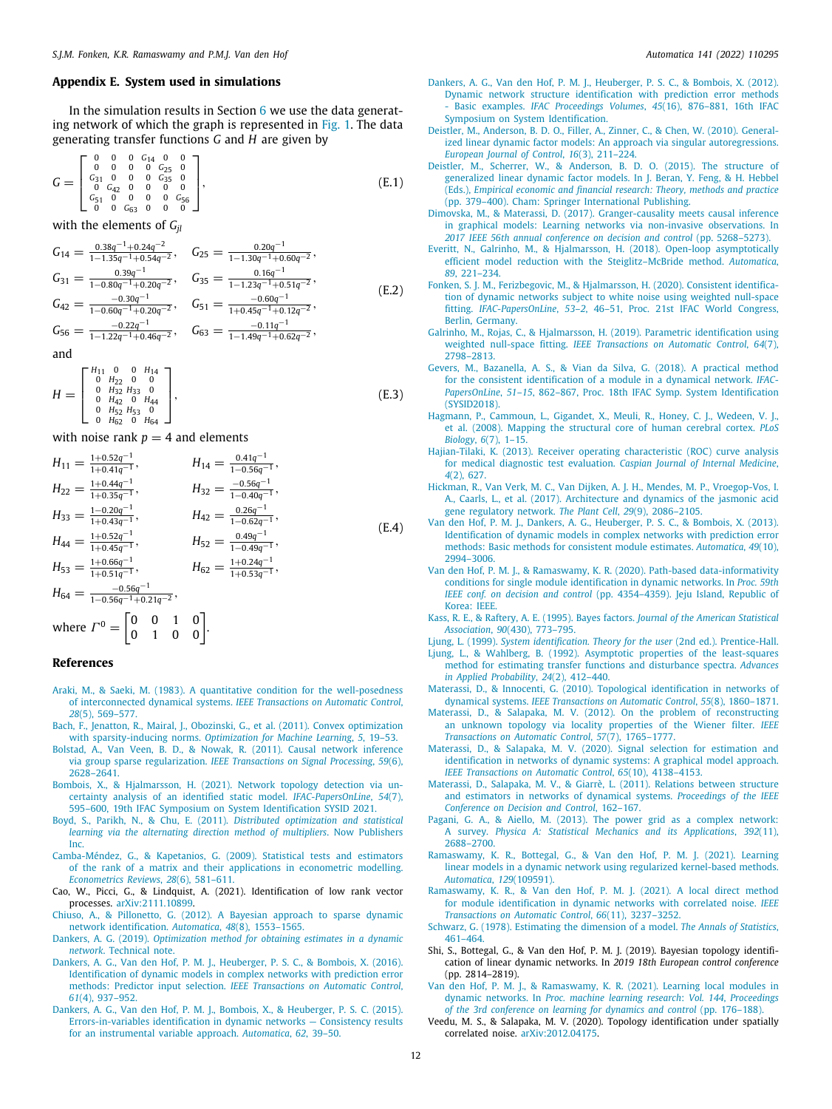#### **Appendix E. System used in simulations**

<span id="page-11-36"></span>In the simulation results in Section [6](#page-7-0) we use the data generating network of which the graph is represented in [Fig.](#page-7-2) [1.](#page-7-2) The data generating transfer functions *G* and *H* are given by

$$
G = \begin{bmatrix} 0 & 0 & 0 & G_{14} & 0 & 0 \\ 0 & 0 & 0 & 0 & G_{25} & 0 \\ G_{31} & 0 & 0 & 0 & G_{35} & 0 \\ 0 & G_{42} & 0 & 0 & 0 & 0 \\ G_{51} & 0 & 0 & 0 & 0 & G_{56} \\ 0 & 0 & G_{63} & 0 & 0 & 0 \end{bmatrix},
$$
(E.1)

with the elements of  $G_{ii}$ 

$$
G_{14} = \frac{0.38q^{-1} + 0.24q^{-2}}{1 - 1.35q^{-1} + 0.54q^{-2}}, \quad G_{25} = \frac{0.20q^{-1}}{1 - 1.30q^{-1} + 0.60q^{-2}},
$$
  
\n
$$
G_{31} = \frac{0.39q^{-1}}{1 - 0.80q^{-1} + 0.20q^{-2}}, \quad G_{35} = \frac{0.16q^{-1}}{1 - 1.23q^{-1} + 0.51q^{-2}},
$$
  
\n
$$
G_{42} = \frac{-0.30q^{-1}}{1 - 0.60q^{-1} + 0.20q^{-2}}, \quad G_{51} = \frac{-0.60q^{-1}}{1 + 0.45q^{-1} + 0.12q^{-2}},
$$
  
\n
$$
G_{56} = \frac{-0.22q^{-1}}{1 - 1.22q^{-1} + 0.46q^{-2}}, \quad G_{63} = \frac{-0.11q^{-1}}{1 - 1.49q^{-1} + 0.62q^{-2}},
$$
  
\n(E.2)

and

$$
H = \begin{bmatrix} H_{11} & 0 & 0 & H_{14} \\ 0 & H_{22} & 0 & 0 \\ 0 & H_{32} & H_{33} & 0 \\ 0 & H_{42} & 0 & H_{44} \\ 0 & H_{52} & H_{53} & 0 \\ 0 & H_{62} & 0 & H_{64} \end{bmatrix},
$$
(E.3)

with noise rank  $p = 4$  and elements

$$
H_{11} = \frac{1+0.52q^{-1}}{1+0.41q^{-1}}, \qquad H_{14} = \frac{0.41q^{-1}}{1-0.56q^{-1}},
$$
  
\n
$$
H_{22} = \frac{1+0.44q^{-1}}{1+0.35q^{-1}}, \qquad H_{32} = \frac{-0.56q^{-1}}{1-0.40q^{-1}},
$$
  
\n
$$
H_{33} = \frac{1-0.20q^{-1}}{1+0.43q^{-1}}, \qquad H_{42} = \frac{0.26q^{-1}}{1-0.62q^{-1}},
$$
  
\n
$$
H_{44} = \frac{1+0.52q^{-1}}{1+0.45q^{-1}}, \qquad H_{52} = \frac{0.49q^{-1}}{1-0.49q^{-1}},
$$
  
\n
$$
H_{53} = \frac{1+0.66q^{-1}}{1+0.51q^{-1}}, \qquad H_{62} = \frac{1+0.24q^{-1}}{1+0.53q^{-1}},
$$
  
\n
$$
H_{64} = \frac{-0.56q^{-1}}{1-0.56q^{-1}+0.21q^{-2}},
$$
  
\n(A)

where 
$$
\Gamma^0 = \begin{bmatrix} 0 & 0 & 1 & 0 \\ 0 & 1 & 0 & 0 \end{bmatrix}
$$
.

#### **References**

- <span id="page-11-26"></span>[Araki, M., & Saeki, M. \(1983\). A quantitative condition for the well-posedness](http://refhub.elsevier.com/S0005-1098(22)00142-X/sb1) of interconnected dynamical systems. *[IEEE Transactions on Automatic Control](http://refhub.elsevier.com/S0005-1098(22)00142-X/sb1)*, *28*[\(5\), 569–577.](http://refhub.elsevier.com/S0005-1098(22)00142-X/sb1)
- <span id="page-11-33"></span>[Bach, F., Jenatton, R., Mairal, J., Obozinski, G., et al. \(2011\). Convex optimization](http://refhub.elsevier.com/S0005-1098(22)00142-X/sb2) with sparsity-inducing norms. *[Optimization for Machine Learning](http://refhub.elsevier.com/S0005-1098(22)00142-X/sb2)*, *5*, 19–53.
- <span id="page-11-21"></span>[Bolstad, A., Van Veen, B. D., & Nowak, R. \(2011\). Causal network inference](http://refhub.elsevier.com/S0005-1098(22)00142-X/sb3) via group sparse regularization. *[IEEE Transactions on Signal Processing](http://refhub.elsevier.com/S0005-1098(22)00142-X/sb3)*, *59*(6), [2628–2641.](http://refhub.elsevier.com/S0005-1098(22)00142-X/sb3)
- <span id="page-11-23"></span>[Bombois, X., & Hjalmarsson, H. \(2021\). Network topology detection via un](http://refhub.elsevier.com/S0005-1098(22)00142-X/sb4)[certainty analysis of an identified static model.](http://refhub.elsevier.com/S0005-1098(22)00142-X/sb4) *IFAC-PapersOnLine*, *54*(7), [595–600, 19th IFAC Symposium on System Identification SYSID 2021.](http://refhub.elsevier.com/S0005-1098(22)00142-X/sb4)
- <span id="page-11-38"></span>[Boyd, S., Parikh, N., & Chu, E. \(2011\).](http://refhub.elsevier.com/S0005-1098(22)00142-X/sb5) *Distributed optimization and statistical [learning via the alternating direction method of multipliers](http://refhub.elsevier.com/S0005-1098(22)00142-X/sb5)*. Now Publishers [Inc.](http://refhub.elsevier.com/S0005-1098(22)00142-X/sb5)
- <span id="page-11-29"></span>[Camba-Méndez, G., & Kapetanios, G. \(2009\). Statistical tests and estimators](http://refhub.elsevier.com/S0005-1098(22)00142-X/sb6) [of the rank of a matrix and their applications in econometric modelling.](http://refhub.elsevier.com/S0005-1098(22)00142-X/sb6) *[Econometrics Reviews](http://refhub.elsevier.com/S0005-1098(22)00142-X/sb6)*, *28*(6), 581–611.
- <span id="page-11-27"></span>Cao, W., Picci, G., & Lindquist, A. (2021). Identification of low rank vector processes. [arXiv:2111.10899.](http://arxiv.org/abs/2111.10899)
- <span id="page-11-4"></span>[Chiuso, A., & Pillonetto, G. \(2012\). A Bayesian approach to sparse dynamic](http://refhub.elsevier.com/S0005-1098(22)00142-X/sb8) [network identification.](http://refhub.elsevier.com/S0005-1098(22)00142-X/sb8) *Automatica*, *48*(8), 1553–1565.
- <span id="page-11-14"></span>Dankers, A. G. (2019). *[Optimization method for obtaining estimates in a dynamic](http://refhub.elsevier.com/S0005-1098(22)00142-X/sb9) network*[. Technical note.](http://refhub.elsevier.com/S0005-1098(22)00142-X/sb9)
- <span id="page-11-6"></span>[Dankers, A. G., Van den Hof, P. M. J., Heuberger, P. S. C., & Bombois, X. \(2016\).](http://refhub.elsevier.com/S0005-1098(22)00142-X/sb10) [Identification of dynamic models in complex networks with prediction error](http://refhub.elsevier.com/S0005-1098(22)00142-X/sb10) methods: Predictor input selection. *[IEEE Transactions on Automatic Control](http://refhub.elsevier.com/S0005-1098(22)00142-X/sb10)*, *61*[\(4\), 937–952.](http://refhub.elsevier.com/S0005-1098(22)00142-X/sb10)
- <span id="page-11-7"></span>[Dankers, A. G., Van den Hof, P. M. J., Bombois, X., & Heuberger, P. S. C. \(2015\).](http://refhub.elsevier.com/S0005-1098(22)00142-X/sb11) [Errors-in-variables identification in dynamic networks — Consistency results](http://refhub.elsevier.com/S0005-1098(22)00142-X/sb11) [for an instrumental variable approach.](http://refhub.elsevier.com/S0005-1098(22)00142-X/sb11) *Automatica*, *62*, 39–50.
- <span id="page-11-22"></span>[Dankers, A. G., Van den Hof, P. M. J., Heuberger, P. S. C., & Bombois, X. \(2012\).](http://refhub.elsevier.com/S0005-1098(22)00142-X/sb12) [Dynamic network structure identification with prediction error methods](http://refhub.elsevier.com/S0005-1098(22)00142-X/sb12) - Basic examples. *IFAC Proceedings Volumes*, *45*[\(16\), 876–881, 16th IFAC](http://refhub.elsevier.com/S0005-1098(22)00142-X/sb12) [Symposium on System Identification.](http://refhub.elsevier.com/S0005-1098(22)00142-X/sb12)
- <span id="page-11-30"></span>[Deistler, M., Anderson, B. D. O., Filler, A., Zinner, C., & Chen, W. \(2010\). General](http://refhub.elsevier.com/S0005-1098(22)00142-X/sb13)[ized linear dynamic factor models: An approach via singular autoregressions.](http://refhub.elsevier.com/S0005-1098(22)00142-X/sb13) *[European Journal of Control](http://refhub.elsevier.com/S0005-1098(22)00142-X/sb13)*, *16*(3), 211–224.
- <span id="page-11-17"></span>[Deistler, M., Scherrer, W., & Anderson, B. D. O. \(2015\). The structure of](http://refhub.elsevier.com/S0005-1098(22)00142-X/sb14) [generalized linear dynamic factor models. In J. Beran, Y. Feng, & H. Hebbel](http://refhub.elsevier.com/S0005-1098(22)00142-X/sb14) (Eds.), *[Empirical economic and financial research: Theory, methods and practice](http://refhub.elsevier.com/S0005-1098(22)00142-X/sb14)* [\(pp. 379–400\). Cham: Springer International Publishing.](http://refhub.elsevier.com/S0005-1098(22)00142-X/sb14)
- <span id="page-11-24"></span>[Dimovska, M., & Materassi, D. \(2017\). Granger-causality meets causal inference](http://refhub.elsevier.com/S0005-1098(22)00142-X/sb15) [in graphical models: Learning networks via non-invasive observations. In](http://refhub.elsevier.com/S0005-1098(22)00142-X/sb15) *[2017 IEEE 56th annual conference on decision and control](http://refhub.elsevier.com/S0005-1098(22)00142-X/sb15)* (pp. 5268–5273).
- <span id="page-11-8"></span>[Everitt, N., Galrinho, M., & Hjalmarsson, H. \(2018\). Open-loop asymptotically](http://refhub.elsevier.com/S0005-1098(22)00142-X/sb16) [efficient model reduction with the Steiglitz–McBride method.](http://refhub.elsevier.com/S0005-1098(22)00142-X/sb16) *Automatica*, *89*[, 221–234.](http://refhub.elsevier.com/S0005-1098(22)00142-X/sb16)
- <span id="page-11-15"></span>[Fonken, S. J. M., Ferizbegovic, M., & Hjalmarsson, H. \(2020\). Consistent identifica](http://refhub.elsevier.com/S0005-1098(22)00142-X/sb17)[tion of dynamic networks subject to white noise using weighted null-space](http://refhub.elsevier.com/S0005-1098(22)00142-X/sb17) fitting. *IFAC-PapersOnLine*, *53–2*[, 46–51, Proc. 21st IFAC World Congress,](http://refhub.elsevier.com/S0005-1098(22)00142-X/sb17) [Berlin, Germany.](http://refhub.elsevier.com/S0005-1098(22)00142-X/sb17)
- <span id="page-11-16"></span>[Galrinho, M., Rojas, C., & Hjalmarsson, H. \(2019\). Parametric identification using](http://refhub.elsevier.com/S0005-1098(22)00142-X/sb18) weighted null-space fitting. *[IEEE Transactions on Automatic Control](http://refhub.elsevier.com/S0005-1098(22)00142-X/sb18)*, *64*(7), [2798–2813.](http://refhub.elsevier.com/S0005-1098(22)00142-X/sb18)
- <span id="page-11-9"></span>[Gevers, M., Bazanella, A. S., & Vian da Silva, G. \(2018\). A practical method](http://refhub.elsevier.com/S0005-1098(22)00142-X/sb19) [for the consistent identification of a module in a dynamical network.](http://refhub.elsevier.com/S0005-1098(22)00142-X/sb19) *IFAC-PapersOnLine*, *51–15*[, 862–867, Proc. 18th IFAC Symp. System Identification](http://refhub.elsevier.com/S0005-1098(22)00142-X/sb19) [\(SYSID2018\).](http://refhub.elsevier.com/S0005-1098(22)00142-X/sb19)
- <span id="page-11-0"></span>[Hagmann, P., Cammoun, L., Gigandet, X., Meuli, R., Honey, C. J., Wedeen, V. J.,](http://refhub.elsevier.com/S0005-1098(22)00142-X/sb20) [et al. \(2008\). Mapping the structural core of human cerebral cortex.](http://refhub.elsevier.com/S0005-1098(22)00142-X/sb20) *PLoS Biology*, *6*[\(7\), 1–15.](http://refhub.elsevier.com/S0005-1098(22)00142-X/sb20)
- <span id="page-11-37"></span>[Hajian-Tilaki, K. \(2013\). Receiver operating characteristic \(ROC\) curve analysis](http://refhub.elsevier.com/S0005-1098(22)00142-X/sb21) [for medical diagnostic test evaluation.](http://refhub.elsevier.com/S0005-1098(22)00142-X/sb21) *Caspian Journal of Internal Medicine*, *4*[\(2\), 627.](http://refhub.elsevier.com/S0005-1098(22)00142-X/sb21)
- <span id="page-11-1"></span>[Hickman, R., Van Verk, M. C., Van Dijken, A. J. H., Mendes, M. P., Vroegop-Vos, I.](http://refhub.elsevier.com/S0005-1098(22)00142-X/sb22) [A., Caarls, L., et al. \(2017\). Architecture and dynamics of the jasmonic acid](http://refhub.elsevier.com/S0005-1098(22)00142-X/sb22) [gene regulatory network.](http://refhub.elsevier.com/S0005-1098(22)00142-X/sb22) *The Plant Cell*, *29*(9), 2086–2105.
- <span id="page-11-5"></span>[Van den Hof, P. M. J., Dankers, A. G., Heuberger, P. S. C., & Bombois, X. \(2013\).](http://refhub.elsevier.com/S0005-1098(22)00142-X/sb23) [Identification of dynamic models in complex networks with prediction error](http://refhub.elsevier.com/S0005-1098(22)00142-X/sb23) [methods: Basic methods for consistent module estimates.](http://refhub.elsevier.com/S0005-1098(22)00142-X/sb23) *Automatica*, *49*(10), [2994–3006.](http://refhub.elsevier.com/S0005-1098(22)00142-X/sb23)
- <span id="page-11-35"></span>[Van den Hof, P. M. J., & Ramaswamy, K. R. \(2020\). Path-based data-informativity](http://refhub.elsevier.com/S0005-1098(22)00142-X/sb24) [conditions for single module identification in dynamic networks. In](http://refhub.elsevier.com/S0005-1098(22)00142-X/sb24) *Proc. 59th IEEE conf. on decision and control* [\(pp. 4354–4359\). Jeju Island, Republic of](http://refhub.elsevier.com/S0005-1098(22)00142-X/sb24) [Korea: IEEE.](http://refhub.elsevier.com/S0005-1098(22)00142-X/sb24)
- <span id="page-11-31"></span>[Kass, R. E., & Raftery, A. E. \(1995\). Bayes factors.](http://refhub.elsevier.com/S0005-1098(22)00142-X/sb25) *Journal of the American Statistical Association*, *90*[\(430\), 773–795.](http://refhub.elsevier.com/S0005-1098(22)00142-X/sb25)

<span id="page-11-28"></span>Ljung, L. (1999). *[System identification. Theory for the user](http://refhub.elsevier.com/S0005-1098(22)00142-X/sb26)* (2nd ed.). Prentice-Hall.

- <span id="page-11-34"></span>[Ljung, L., & Wahlberg, B. \(1992\). Asymptotic properties of the least-squares](http://refhub.elsevier.com/S0005-1098(22)00142-X/sb27) [method for estimating transfer functions and disturbance spectra.](http://refhub.elsevier.com/S0005-1098(22)00142-X/sb27) *Advances [in Applied Probability](http://refhub.elsevier.com/S0005-1098(22)00142-X/sb27)*, *24*(2), 412–440.
- <span id="page-11-2"></span>[Materassi, D., & Innocenti, G. \(2010\). Topological identification in networks of](http://refhub.elsevier.com/S0005-1098(22)00142-X/sb28) dynamical systems. *[IEEE Transactions on Automatic Control](http://refhub.elsevier.com/S0005-1098(22)00142-X/sb28)*, *55*(8), 1860–1871.
- <span id="page-11-18"></span>[Materassi, D., & Salapaka, M. V. \(2012\). On the problem of reconstructing](http://refhub.elsevier.com/S0005-1098(22)00142-X/sb29) [an unknown topology via locality properties of the Wiener filter.](http://refhub.elsevier.com/S0005-1098(22)00142-X/sb29) *IEEE [Transactions on Automatic Control](http://refhub.elsevier.com/S0005-1098(22)00142-X/sb29)*, *57*(7), 1765–1777.
- <span id="page-11-10"></span>[Materassi, D., & Salapaka, M. V. \(2020\). Signal selection for estimation and](http://refhub.elsevier.com/S0005-1098(22)00142-X/sb30) [identification in networks of dynamic systems: A graphical model approach.](http://refhub.elsevier.com/S0005-1098(22)00142-X/sb30) *[IEEE Transactions on Automatic Control](http://refhub.elsevier.com/S0005-1098(22)00142-X/sb30)*, *65*(10), 4138–4153.
- <span id="page-11-19"></span>[Materassi, D., Salapaka, M. V., & Giarrè, L. \(2011\). Relations between structure](http://refhub.elsevier.com/S0005-1098(22)00142-X/sb31) [and estimators in networks of dynamical systems.](http://refhub.elsevier.com/S0005-1098(22)00142-X/sb31) *Proceedings of the IEEE [Conference on Decision and Control](http://refhub.elsevier.com/S0005-1098(22)00142-X/sb31)*, 162–167.
- <span id="page-11-3"></span>[Pagani, G. A., & Aiello, M. \(2013\). The power grid as a complex network:](http://refhub.elsevier.com/S0005-1098(22)00142-X/sb32) A survey. *[Physica A: Statistical Mechanics and its Applications](http://refhub.elsevier.com/S0005-1098(22)00142-X/sb32)*, *392*(11), [2688–2700.](http://refhub.elsevier.com/S0005-1098(22)00142-X/sb32)
- <span id="page-11-11"></span>[Ramaswamy, K. R., Bottegal, G., & Van den Hof, P. M. J. \(2021\). Learning](http://refhub.elsevier.com/S0005-1098(22)00142-X/sb33) [linear models in a dynamic network using regularized kernel-based methods.](http://refhub.elsevier.com/S0005-1098(22)00142-X/sb33) *[Automatica](http://refhub.elsevier.com/S0005-1098(22)00142-X/sb33)*, *129*(109591).
- <span id="page-11-12"></span>[Ramaswamy, K. R., & Van den Hof, P. M. J. \(2021\). A local direct method](http://refhub.elsevier.com/S0005-1098(22)00142-X/sb34) [for module identification in dynamic networks with correlated noise.](http://refhub.elsevier.com/S0005-1098(22)00142-X/sb34) *IEEE [Transactions on Automatic Control](http://refhub.elsevier.com/S0005-1098(22)00142-X/sb34)*, *66*(11), 3237–3252.
- <span id="page-11-32"></span>[Schwarz, G. \(1978\). Estimating the dimension of a model.](http://refhub.elsevier.com/S0005-1098(22)00142-X/sb35) *The Annals of Statistics*, [461–464.](http://refhub.elsevier.com/S0005-1098(22)00142-X/sb35)
- <span id="page-11-20"></span>Shi, S., Bottegal, G., & Van den Hof, P. M. J. (2019). Bayesian topology identification of linear dynamic networks. In *2019 18th European control conference* (pp. 2814–2819).
- <span id="page-11-13"></span>[Van den Hof, P. M. J., & Ramaswamy, K. R. \(2021\). Learning local modules in](http://refhub.elsevier.com/S0005-1098(22)00142-X/sb37) dynamic networks. In *[Proc. machine learning research](http://refhub.elsevier.com/S0005-1098(22)00142-X/sb37)*: *Vol. 144*, *Proceedings [of the 3rd conference on learning for dynamics and control](http://refhub.elsevier.com/S0005-1098(22)00142-X/sb37)* (pp. 176–188).
- <span id="page-11-25"></span>Veedu, M. S., & Salapaka, M. V. (2020). Topology identification under spatially correlated noise. [arXiv:2012.04175.](http://arxiv.org/abs/2012.04175)